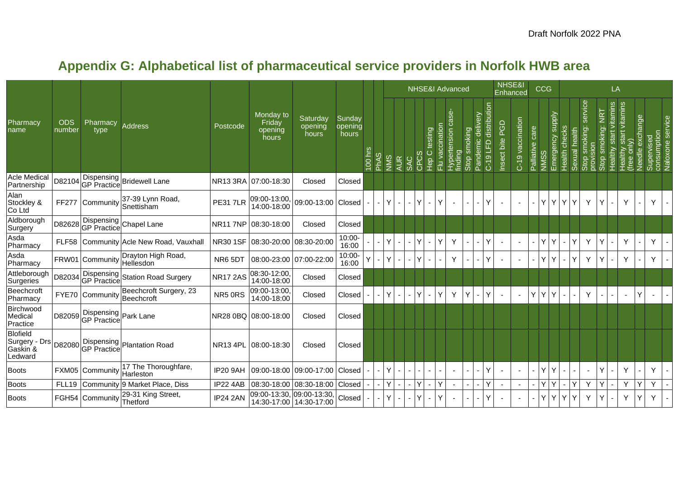|                                                         |                      |                             |                                                |                 |                                                                          |                              |                            |          |             |                     |                |   |                |                 | <b>NHSE&amp;I Advanced</b>           |                 |                                        |                               | NHSE&I<br>Enhanced |                  |                 | <b>CCG</b>                |               |                 |                            |                         | LA                       |                                             |                 |                           |                  |
|---------------------------------------------------------|----------------------|-----------------------------|------------------------------------------------|-----------------|--------------------------------------------------------------------------|------------------------------|----------------------------|----------|-------------|---------------------|----------------|---|----------------|-----------------|--------------------------------------|-----------------|----------------------------------------|-------------------------------|--------------------|------------------|-----------------|---------------------------|---------------|-----------------|----------------------------|-------------------------|--------------------------|---------------------------------------------|-----------------|---------------------------|------------------|
| Pharmacy<br>name                                        | <b>ODS</b><br>number | Pharmacy<br>type            | <b>Address</b>                                 | Postcode        | Monday to<br>Friday<br>opening<br>hours                                  | Saturday<br>opening<br>hours | Sunday<br>opening<br>hours | $00$ hrs | <b>PhAS</b> | NMS<br><b>AUR</b>   | SAC            | 용 | Hep C testing  | Flu vaccination | မိ<br>ertension<br>Hypert<br>finding | smoking<br>Stop | ivery<br><u>ep</u><br>Ō<br>emi<br>Pand | distribution<br>LFD<br>$C-19$ | Insect bite PGD    | C-19 vaccination | Palliative care | Emergency supply<br>NIMS: | Health checks | health<br>exual | service<br>smoking:<br>ao: | NRT<br>smoking:<br>Stop | Healthy start vitamins   | start vitamins<br>only)<br>Healthy<br>(free | Needle exchange | Supervised<br>consumption | Naloxone service |
| <b>Acle Medical</b><br>Partnership                      | D82104               | <b>GP</b> Practice          | Dispensing Bridewell Lane                      |                 | NR13 3RA 07:00-18:30                                                     | Closed                       | Closed                     |          |             |                     |                |   |                |                 |                                      |                 |                                        |                               |                    |                  |                 |                           |               |                 |                            |                         |                          |                                             |                 |                           |                  |
| Alan<br>Stockley &<br>Co Ltd                            | FF277                | Community                   | 37-39 Lynn Road,<br><b>S</b> nettisham         | <b>PE31 7LR</b> | $\begin{bmatrix} 09:00-13:00 \\ 14:00-18:00 \end{bmatrix}$ (09:00-13:00) |                              | Closed                     |          |             | Y                   |                |   | $\blacksquare$ | Υ               |                                      |                 |                                        | Y                             |                    |                  |                 | Y I<br>Y                  | Y             | Y               | Y                          |                         |                          | Y                                           |                 | Y.                        | $\sim$           |
| Aldborough<br>Surgery                                   | D82628               |                             | Dispensing<br>GP Practice Chapel Lane          |                 | NR11 7NP 08:30-18:00                                                     | Closed                       | Closed                     |          |             |                     |                |   |                |                 |                                      |                 |                                        |                               |                    |                  |                 |                           |               |                 |                            |                         |                          |                                             |                 |                           |                  |
| Asda<br>Pharmacy                                        |                      |                             | FLF58 Community Acle New Road, Vauxhall        |                 | NR30 1SF 08:30-20:00 08:30-20:00                                         |                              | 10:00-<br>16:00            |          |             | v.                  |                |   |                | Υ               | Y                                    |                 |                                        | Y                             |                    |                  |                 | Y I<br>Y                  |               | Y               | Y                          |                         |                          | Y                                           |                 | Y                         |                  |
| Asda<br>Pharmacy                                        |                      |                             | FRW01 Community Drayton High Road,             | NR65DT          | 08:00-23:00 07:00-22:00                                                  |                              | 10:00-<br>16:00            |          |             | v.                  |                |   |                |                 | Y                                    |                 |                                        | Y                             |                    |                  |                 | Υl<br>٧                   |               | Y               | Y                          |                         |                          | Y                                           |                 | Y                         |                  |
| Attleborough<br>Surgeries                               | D82034               |                             | Dispensing<br>GP Practice Station Road Surgery | <b>NR17 2AS</b> | 08:30-12:00<br>14:00-18:00                                               | Closed                       | Closed                     |          |             |                     |                |   |                |                 |                                      |                 |                                        |                               |                    |                  |                 |                           |               |                 |                            |                         |                          |                                             |                 |                           |                  |
| Beechcroft<br>Pharmacy                                  |                      | FYE70 Community             | Beechcroft Surgery, 23<br>Beechcroft           | NR5 ORS         | 09:00-13:00<br>14:00-18:00                                               | Closed                       | Closed                     |          |             | Y                   |                |   | $\sim$         | Υ               | Y                                    | Y               |                                        | Ý                             |                    |                  | Y               | Y<br>Y                    |               |                 | Y                          |                         | $\blacksquare$           |                                             |                 |                           |                  |
| Birchwood<br>Medical<br>Practice                        |                      | D82059 Dispensing Park Lane |                                                |                 | NR28 0BQ 08:00-18:00                                                     | Closed                       | Closed                     |          |             |                     |                |   |                |                 |                                      |                 |                                        |                               |                    |                  |                 |                           |               |                 |                            |                         |                          |                                             |                 |                           |                  |
| <b>Blofield</b><br>Surgery - Drs<br>Gaskin &<br>Ledward |                      |                             | D82080 Dispensing Plantation Road              |                 | NR13 4PL 08:00-18:30                                                     | Closed                       | Closed                     |          |             |                     |                |   |                |                 |                                      |                 |                                        |                               |                    |                  |                 |                           |               |                 |                            |                         |                          |                                             |                 |                           |                  |
| <b>Boots</b>                                            |                      | <b>FXM05 Community</b>      | 17 The Thoroughfare,<br>Harleston              | <b>IP20 9AH</b> | 09:00-18:00 09:00-17:00                                                  |                              | Closed                     |          |             | Y                   |                |   |                |                 | $\blacksquare$                       |                 |                                        | Υ                             |                    |                  |                 | Y I<br>Y                  |               |                 | $\sim$                     |                         |                          | Y                                           |                 | Y.                        |                  |
| <b>Boots</b>                                            | FLL19                |                             | Community 9 Market Place, Diss                 | IP22 4AB        |                                                                          | 08:30-18:00 08:30-18:00      | Closed                     |          |             | Y<br>$\blacksquare$ | $\blacksquare$ |   | $\blacksquare$ | Y               | $\blacksquare$                       |                 |                                        | Υ                             |                    |                  |                 | Y١<br>Y                   | $\sim$        | Y               | Y                          |                         | -                        | Y                                           | Ý               | Y                         |                  |
| <b>Boots</b>                                            |                      | FGH54 Community             | 29-31 King Street,<br>Thetford                 | <b>IP24 2AN</b> | 09:00-13:30, 09:00-13:30, 14:30-17:00   14:30-17:00                      |                              | Closed                     |          |             | Y.                  |                |   | $\blacksquare$ | Υ               |                                      |                 |                                        | Y                             |                    |                  |                 | YY                        | Y             | Y               | Y                          |                         | $\overline{\phantom{0}}$ | Y                                           | Y               | Y                         |                  |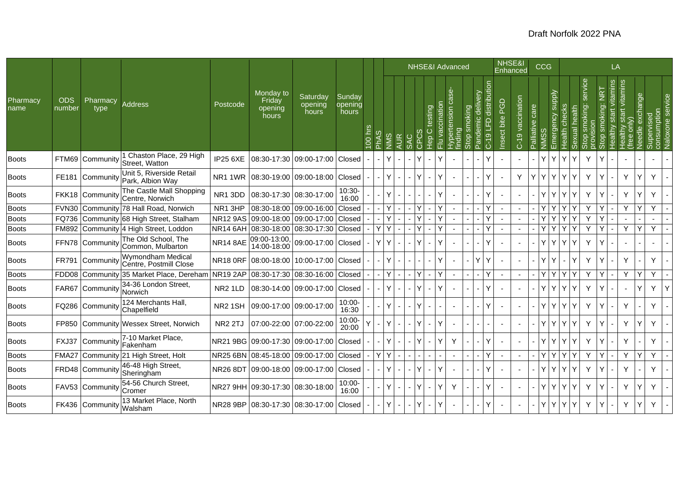|                  |                      |                  |                                              |                     |                                         |                              |                            |           |   |      |            |   | <b>NHSE&amp;I Advanced</b>                    |                          |        |                          |                                                                    |                           | NHSE&I<br>Enhanced |                 | <b>CCG</b>  |                                   |      |                    |                  | LA            |                               |                  |                           |                  |
|------------------|----------------------|------------------|----------------------------------------------|---------------------|-----------------------------------------|------------------------------|----------------------------|-----------|---|------|------------|---|-----------------------------------------------|--------------------------|--------|--------------------------|--------------------------------------------------------------------|---------------------------|--------------------|-----------------|-------------|-----------------------------------|------|--------------------|------------------|---------------|-------------------------------|------------------|---------------------------|------------------|
| Pharmacy<br>name | <b>ODS</b><br>number | Pharmacy<br>type | <b>Address</b>                               | Postcode            | Monday to<br>Friday<br>opening<br>hours | Saturday<br>opening<br>hours | Sunday<br>opening<br>hours | $100$ hrs | ഗ | SIMN | <b>AUR</b> | Q | ccinatio<br>testing<br>$\circ$<br>윤<br>문<br>룬 | $\overline{5}$<br>rtensi | တ<br>m | moking<br>$\overline{v}$ | distribution<br>elivery<br>Ō<br>ပ<br>$\Omega$<br>an<br>ត<br>$C-19$ | <b>PGD</b><br>Insect bite | C-19 vaccination   | Palliative care | S<br>—<br>⋛ | Emergency supply<br>Health checks | kual | service<br>noking: | <b>NRT</b><br>க் | tamins<br>sta | start vitamins<br>g<br>ealthy | exchange<br>edle | consumption<br>Supervised | Naloxone service |
| <b>Boots</b>     | FTM69                | Community        | 1 Chaston Place, 29 High<br>Street, Watton   | <b>IP25 6XE</b>     | 08:30-17:30                             | 09:00-17:00                  | Closed                     |           |   |      |            |   |                                               |                          |        |                          | Y                                                                  |                           |                    |                 | Y           | Y                                 | Υ    | Y                  | Y                |               |                               |                  |                           |                  |
| <b>Boots</b>     | <b>FE181</b>         | Community        | Unit 5, Riverside Retail<br>Park, Albion Way | NR11WR              | 08:30-19:00 09:00-18:00 Closed          |                              |                            |           |   |      |            |   |                                               |                          |        |                          | ٧                                                                  |                           | Y                  | Υ               | Y           | Y<br>Υ                            | Y    | Y                  | Y                |               | Y                             | Y                | Y                         |                  |
| <b>Boots</b>     |                      | FKK18 Community  | The Castle Mall Shopping<br>Centre, Norwich  | NR13DD              | 08:30-17:30 08:30-17:00                 |                              | 10:30-<br>16:00            |           |   |      |            |   |                                               |                          |        |                          | Y                                                                  |                           |                    |                 | Y           | Y<br>Y                            | Y    | Y                  | Y                |               | Y                             | Y                | Y                         |                  |
| <b>Boots</b>     | <b>FVN30</b>         |                  | Community 78 Hall Road, Norwich              | NR1 3HP             | 08:30-18:00                             | 09:00-16:00                  | Closed                     |           |   |      |            |   |                                               |                          |        |                          | ٧                                                                  |                           |                    |                 | ٧           | Υ                                 |      | Y                  |                  |               | Y                             | Ý                | Y                         |                  |
| Boots            | FQ736                |                  | Community 68 High Street, Stalham            | <b>NR12 9AS</b>     |                                         | 09:00-18:00 09:00-17:00      | Closed                     |           |   |      |            |   |                                               |                          |        |                          | Ý                                                                  |                           |                    |                 | Υ           | Y                                 |      | Y                  | Y                |               |                               |                  |                           |                  |
| <b>Boots</b>     | FM892                |                  | Community 4 High Street, Loddon              | NR14 6AH            | 08:30-18:00 08:30-17:30                 |                              | Closed                     |           | Y |      |            |   |                                               |                          |        |                          | Y                                                                  |                           |                    |                 | Y           | Y                                 |      | Y                  | Y                |               | Y                             | Y                | Y                         |                  |
| <b>Boots</b>     | FFN78                | Community        | The Old School, The<br>Common, Mulbarton     | <b>NR14 8AE</b>     | 09:00-13:00,<br>14:00-18:00             | 09:00-17:00 Closed           |                            |           | Y |      |            |   |                                               |                          |        |                          | Υ                                                                  |                           |                    |                 | Y           | Y                                 | Υ    | Y                  | Y                |               |                               |                  |                           |                  |
| <b>Boots</b>     | <b>FR791</b>         | Community        | Wymondham Medical<br>Centre, Postmill Close  | <b>NR18 0RF</b>     | 08:00-18:00                             | 10:00-17:00                  | Closed                     |           |   | Y    |            |   | ٧                                             | $\sim$                   |        |                          | Y<br>Y                                                             |                           |                    |                 | Y           | Y<br>$\sim$                       | Y    | Y                  | Y                |               | Y                             |                  | Y                         |                  |
| <b>Boots</b>     | FDD08                |                  | Community 35 Market Place, Dereham NR19 2AP  |                     | 08:30-17:30                             | 08:30-16:00                  | Closed                     |           |   |      |            |   | Y<br>$\blacksquare$                           |                          |        |                          | Ý                                                                  |                           |                    |                 | Y           | YY                                |      | Y                  | Y                |               | Y                             | Y                | Y                         |                  |
| <b>Boots</b>     | FAR67                | Community        | 34-36 London Street,<br>Norwich              | NR <sub>2</sub> 1LD |                                         | 08:30-14:00 09:00-17:00      | Closed                     |           |   |      |            |   |                                               |                          |        |                          | Ý                                                                  |                           |                    |                 | Y           | Y<br>Y                            | Y    | Y                  | Y                |               |                               | Y                | Υ                         |                  |
| <b>Boots</b>     | FQ286                | Community        | 124 Merchants Hall,<br>Chapelfield           | NR <sub>2</sub> 1SH | 09:00-17:00                             | 09:00-17:00                  | $10:00 -$<br>16:30         |           |   | v.   |            |   |                                               |                          |        |                          | Y                                                                  |                           |                    |                 | Y           | Y                                 | Y    | Y                  | Y                |               | Y                             |                  | Y                         |                  |
| <b>Boots</b>     | FP850                |                  | Community Wessex Street, Norwich             | <b>NR2 2TJ</b>      | 07:00-22:00 07:00-22:00                 |                              | 10:00-<br>20:00            |           |   |      |            |   |                                               |                          |        |                          |                                                                    |                           |                    |                 | Y           | Y                                 | Y    | Y                  | Y                |               | Y                             | Y                | Y                         |                  |
| <b>Boots</b>     | FXJ37                | Community        | 7-10 Market Place,<br>Fakenham               |                     | NR21 9BG 09:00-17:30 09:00-17:00        |                              | Closed                     |           |   |      |            |   |                                               |                          | Y      |                          | Υ                                                                  |                           |                    |                 | Y.          | Y.<br>Y                           | Y    | Y                  | Y                |               | Y                             |                  | Y                         |                  |
| <b>Boots</b>     | FMA <sub>27</sub>    |                  | Community 21 High Street, Holt               | <b>NR25 6BN</b>     |                                         | 08:45-18:00 09:00-17:00      | Closed                     |           | v |      |            |   |                                               |                          |        |                          | Y                                                                  |                           |                    |                 | Y           | YY                                |      | Y                  | Υ                |               | Y                             | ٧                | Y                         |                  |
| <b>Boots</b>     |                      | FRD48 Communit   | 46-48 High Street,<br>Sheringham             | <b>NR26 8DT</b>     | 09:00-18:00 09:00-17:00                 |                              | Closed                     |           |   | Y    |            |   |                                               | $\sim$                   |        |                          | ٧                                                                  |                           |                    |                 | Y           | Y<br>Y                            | Y    | Y                  | Y                |               | Y                             |                  | Y                         |                  |
| <b>Boots</b>     |                      | FAV53 Community  | 54-56 Church Street,<br>Cromer               | <b>NR27 9HH</b>     | 09:30-17:30 08:30-18:00                 |                              | 10:00-<br>16:00            |           |   | v.   |            |   | $\sim$                                        |                          | Y      |                          | Y                                                                  |                           |                    |                 | Y           | Y                                 | Y    | Y                  | Y                |               | Y                             | Y                | Y                         |                  |
| <b>Boots</b>     |                      | FK436 Community  | 13 Market Place, North<br>Walsham            |                     | NR28 9BP 08:30-17:30 08:30-17:00 Closed |                              |                            |           |   |      |            |   | Υ                                             |                          |        |                          | Υ                                                                  |                           |                    |                 | Y           | Y<br>Y                            | Y    | Y                  | Y                |               | Y                             | Y                | Y                         |                  |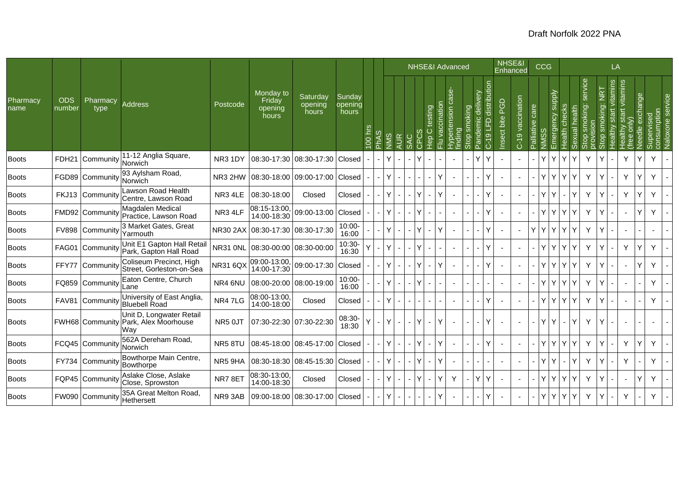|                  |                      |                  |                                                                         |                     |                                         |                                        |                            |                     |     |                 |              |                        |   | <b>NHSE&amp;I Advanced</b> |       |                      |                              | NHSE&I             | Enhanced         |                    | <b>CCG</b>       |                  |     |                                 |                  | LA                          |                                       |                   |                     |                        |
|------------------|----------------------|------------------|-------------------------------------------------------------------------|---------------------|-----------------------------------------|----------------------------------------|----------------------------|---------------------|-----|-----------------|--------------|------------------------|---|----------------------------|-------|----------------------|------------------------------|--------------------|------------------|--------------------|------------------|------------------|-----|---------------------------------|------------------|-----------------------------|---------------------------------------|-------------------|---------------------|------------------------|
| Pharmacy<br>name | <b>ODS</b><br>number | Pharmacy<br>type | <b>Address</b>                                                          | Postcode            | Monday to<br>Friday<br>opening<br>hours | Saturdav<br>opening<br>hours           | Sunday<br>opening<br>hours | 흑<br>$\overline{0}$ | NNS | AUR<br>$\omega$ |              | testing<br>Ō<br>운<br>エ | ത |                            | oking | elivery<br>਼<br>emic | distribution<br>요<br>$\circ$ | PGD<br>Insect bite | C-19 vaccination | care<br>Palliative | Emergency supply | checks<br>lealth | len | service<br>king:<br>호<br>E<br>ഗ | <b>NRT</b><br>iğ | vitamins<br>start<br>Aulipe | vitamins<br>start<br>$\sum_{i=1}^{n}$ | exchange<br>eedle | sumptio<br>န္တိုင္လ | <b>Gel</b><br>Naloxone |
| <b>Boots</b>     | FDH <sub>21</sub>    | Community        | 11-12 Anglia Square,<br>Norwich                                         | NR <sub>3</sub> 1DY |                                         | 08:30-17:30 08:30-17:30 Closed         |                            |                     | Υ   |                 |              |                        |   |                            |       | Y                    | Y                            |                    |                  |                    | Y<br>Y           | Y                | Y   | Y                               |                  |                             | Y                                     | Y                 | Y                   |                        |
| <b>Boots</b>     |                      | FGD89 Communit   | 93 Aylsham Road,<br>Norwich                                             | NR3 2HW             |                                         | 08:30-18:00 09:00-17:00                | Closed                     |                     | Υ   |                 |              |                        | Y |                            |       |                      | ٧                            |                    |                  |                    | Y                | YY               | Y   | Y                               |                  |                             | Y                                     | Y                 | Y                   |                        |
| <b>Boots</b>     |                      | FKJ13 Community  | Lawson Road Health<br>Centre, Lawson Road                               | NR3 4LE             | 08:30-18:00                             | Closed                                 | Closed                     |                     | Y   |                 |              | Y                      | Y |                            |       |                      | Υ                            |                    |                  |                    | Υ                |                  | Y   | Y                               |                  |                             |                                       |                   | Y                   |                        |
| <b>Boots</b>     |                      | FMD92 Community  | Magdalen Medical<br>Practice, Lawson Road                               | NR3 4LF             | 14:00-18:30                             | $\overline{08:15-13:00}$ , 09:00-13:00 | Closed                     |                     | Y   |                 |              |                        |   |                            |       |                      | v                            |                    |                  |                    | Y                | Y                | Y   | Y                               |                  |                             |                                       | Y                 | Y                   |                        |
| <b>Boots</b>     |                      | FV898 Community  | 3 Market Gates, Great<br>Yarmouth                                       |                     | NR30 2AX 08:30-17:30 08:30-17:30        |                                        | $10:00 -$<br>16:00         |                     | Y   |                 |              | Y                      | Y |                            |       |                      | Y                            |                    |                  | Y                  | Y                | $\mathsf{Y}$     | Y   | Y                               |                  |                             |                                       |                   |                     |                        |
| <b>Boots</b>     |                      | FAG01 Community  | Unit E1 Gapton Hall Retail<br>Park, Gapton Hall Road                    |                     | NR31 0NL 08:30-00:00 08:30-00:00        |                                        | 10:30-<br>16:30            |                     | Y   |                 |              |                        |   |                            |       |                      | Υ                            |                    |                  |                    | Y<br>Υ           | Y                | Y   | Y                               |                  |                             | Y                                     | Y                 | Y                   |                        |
| <b>Boots</b>     | FFY77                | Communit         | Coliseum Precinct, High<br>Street, Gorleston-on-Sea                     | <b>NR31 6QX</b>     |                                         | 09:00-13:00, 09:00-17:30               | Closed                     |                     | Υ   |                 |              | $\mathsf{Y}$           | Y |                            |       |                      | Y                            |                    |                  |                    | Y.<br>Y          | Y                | Y   | Y                               |                  |                             |                                       | Y                 | Y                   |                        |
| <b>Boots</b>     | FQ859                | Community        | Eaton Centre, Church<br>Lane                                            | NR4 6NU             | 08:00-20:00 08:00-19:00                 |                                        | $10:00 -$<br>16:00         |                     | Y   |                 |              |                        |   | $\sim$                     |       |                      |                              |                    |                  |                    | Y                | YY               | Y   | Y                               |                  |                             |                                       |                   | Y                   |                        |
| <b>Boots</b>     | <b>FAV81</b>         | Community        | University of East Anglia<br><b>Bluebell Road</b>                       | NR47LG              | 08:00-13:00<br>14:00-18:00              | Closed                                 | Closed                     |                     | Υ   |                 |              |                        |   | $\sim$                     |       |                      | Υ                            |                    |                  |                    | Y<br>Υ           | Y                | Y   | Y                               |                  |                             |                                       |                   | Y                   |                        |
| <b>Boots</b>     |                      |                  | Unit D, Longwater Retail<br>FWH68 Community Park, Alex Moorhouse<br>Way | NR5 0JT             | 07:30-22:30 07:30-22:30                 |                                        | 08:30-<br>18:30            |                     | Y   |                 |              | Y                      | Y |                            |       |                      | Υ                            |                    |                  |                    | Y<br>Y           |                  | Y   | Y                               |                  |                             |                                       |                   |                     |                        |
| <b>Boots</b>     |                      | FCQ45 Community  | 562A Dereham Road,<br>Norwich                                           | NR58TU              |                                         | 08:45-18:00 08:45-17:00                | Closed                     |                     | Y   |                 | Y <br>$\sim$ |                        | Y |                            |       |                      | Y                            |                    |                  |                    | Y                | YY               | Y   | Y                               |                  |                             | Y                                     | Ý                 | Y                   |                        |
| <b>Boots</b>     | FY734                | Community        | Bowthorpe Main Centre,<br>Bowthorpe                                     | NR5 9HA             |                                         | 08:30-18:30 08:45-15:30                | Closed                     |                     | Y   |                 | IY.          |                        | Y |                            |       |                      |                              |                    |                  |                    | Y                |                  | Y   | Y                               |                  |                             | Y                                     |                   | Y                   |                        |
| <b>Boots</b>     |                      | FQP45 Community  | Aslake Close, Aslake<br>Close, Sprowston                                | NR78ET              | 08:30-13:00<br>14:00-18:30              | Closed                                 | Closed                     |                     | Y   |                 |              | Y                      | Y | Y                          |       | Y                    | Y                            |                    |                  |                    | Y<br>٧           | Y                | Y   | Y                               |                  |                             |                                       | Y                 | Y                   |                        |
| <b>Boots</b>     |                      | FW090 Community  | 35A Great Melton Road,<br>Hethersett                                    | NR9 3AB             |                                         | 09:00-18:00 08:30-17:00 Closed         |                            |                     | Y   |                 |              |                        | Y |                            |       |                      | Y                            |                    |                  |                    | Y                | YY               | Y   | Y                               |                  |                             | Y                                     |                   | Y                   |                        |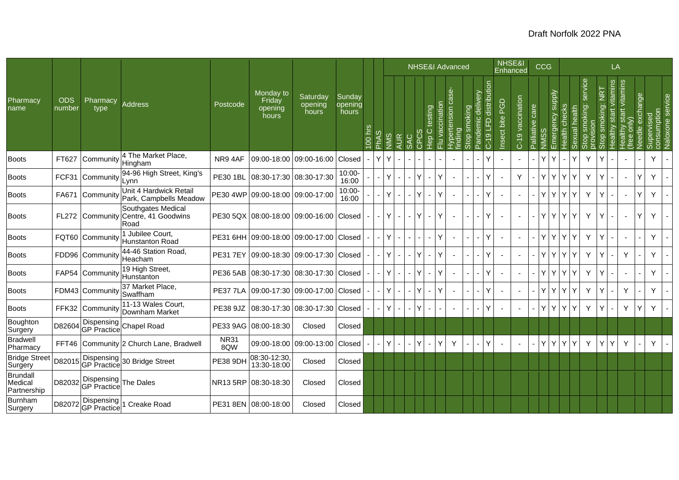|                                    |                      |                                     |                                                                   |                    |                                         |                                |                            |         |                          |       |                |                |    | <b>NHSE&amp;I Advanced</b>                   |                          |                                        |                            |                                   |                    | NHSE&I<br>Enhanced |                 | CCG |                                   |                    |                                |                                            | LA                                   |                                                      |                    |                           |                          |
|------------------------------------|----------------------|-------------------------------------|-------------------------------------------------------------------|--------------------|-----------------------------------------|--------------------------------|----------------------------|---------|--------------------------|-------|----------------|----------------|----|----------------------------------------------|--------------------------|----------------------------------------|----------------------------|-----------------------------------|--------------------|--------------------|-----------------|-----|-----------------------------------|--------------------|--------------------------------|--------------------------------------------|--------------------------------------|------------------------------------------------------|--------------------|---------------------------|--------------------------|
| Pharmacy<br>name                   | <b>ODS</b><br>number | Pharmacy<br>type                    | Address                                                           | Postcode           | Monday to<br>Friday<br>opening<br>hours | Saturday<br>opening<br>hours   | Sunday<br>opening<br>hours | 100 hrs | $\omega$<br><b>Addre</b> | NINIS | <b>AUR</b>     | <b>SAC</b>     |    | ccinatio<br>testing<br>Ō<br>ğ<br>。<br>上<br>룬 | Hypertensic<br>findina   | smoking<br>ာ<br>$\Omega$<br><b>Gio</b> | divery<br>Ō<br>emic<br>and | distribution<br>G<br>FD<br>$C-19$ | BGD<br>Insect bite | C-19 vaccination   | Palliative care |     | Emergency supply<br>Health checks | alth<br>قع<br>kual | service<br>smoking:<br>a<br>So | <b>NRT</b><br>king:<br>$\frac{1}{2}$<br>9g | vitamins<br>$\frac{1}{16}$<br>ealthy | start vitamins<br>$\overline{\text{only}}$<br>ealthy | exchange<br>Needle | consumption<br>Supervised | Naloxone service         |
| <b>Boots</b>                       | FT627                | Community                           | 4 The Market Place,<br>Hingham                                    | NR94AF             | 09:00-18:00                             | 09:00-16:00                    | Closed                     |         | Y                        | Y     |                |                |    |                                              | $\sim$                   |                                        |                            | ٧                                 |                    |                    |                 |     | ٧                                 | Y                  | Y                              |                                            |                                      |                                                      |                    | Y                         |                          |
| <b>Boots</b>                       | FCF31                | Community                           | 94-96 High Street, King's<br>Lynn                                 | <b>PE30 1BL</b>    |                                         | 08:30-17:30 08:30-17:30        | $10:00 -$<br>16:00         |         |                          | Y.    |                |                |    |                                              | $\sim$                   |                                        |                            | v                                 |                    | Y                  |                 | Y.  | Y<br>Y                            | Y                  | Y                              |                                            |                                      |                                                      | Υ                  | Y                         |                          |
| <b>Boots</b>                       | FA671                | Community                           | Unit 4 Hardwick Retail<br>Park, Campbells Meadow                  |                    | PE30 4WP 09:00-18:00 09:00-17:00        |                                | 10:00-<br>16:00            |         |                          | Y.    |                |                | ΙV | $\checkmark$                                 | $\overline{\phantom{a}}$ |                                        |                            | Y                                 |                    |                    |                 | Y.  | Y<br>Y                            | Y                  | Y                              |                                            |                                      |                                                      | Ý                  | Y                         |                          |
| <b>Boots</b>                       |                      |                                     | Southgates Medical<br>FL272 Community Centre, 41 Goodwins<br>Road |                    | PE30 5QX 08:00-18:00 09:00-16:00 Closed |                                |                            |         |                          | Y.    | $\blacksquare$ |                |    | $\sim$                                       |                          |                                        |                            | ٧                                 |                    |                    |                 | Y.  | l Y<br>Y                          | Y                  | Y                              |                                            |                                      |                                                      | Y                  | Y                         |                          |
| <b>Boots</b>                       |                      | FQT60 Community                     | 1 Jubilee Court,<br>Hunstanton Road                               |                    | PE31 6HH 09:00-18:00 09:00-17:00 Closed |                                |                            |         |                          | Y.    |                |                |    | Υ                                            |                          |                                        |                            | Y                                 |                    |                    |                 | Y.  | Y<br>Y                            | Y                  | Y                              |                                            |                                      |                                                      |                    | Y.                        |                          |
| <b>Boots</b>                       |                      | FDD96 Community                     | 44-46 Station Road,<br>Heacham                                    | <b>PE317EY</b>     |                                         | 09:00-18:30 09:00-17:30 Closed |                            |         |                          | Y.    | $\blacksquare$ | $\blacksquare$ |    |                                              | $\sim$                   | $\blacksquare$                         |                            | ٧                                 |                    | $\blacksquare$     |                 | Y I | Y<br>$\mathsf{Y}$                 | Y                  | Y                              |                                            |                                      | Y                                                    |                    | Y.                        | $\overline{\phantom{a}}$ |
| <b>Boots</b>                       |                      | FAP54 Community                     | 19 High Street,<br>Hunstanton                                     | <b>PE36 5AB</b>    |                                         | 08:30-17:30 08:30-17:30 Closed |                            |         |                          | Y.    | $\sim$         |                |    |                                              | $\overline{\phantom{a}}$ |                                        |                            | ٧                                 |                    |                    |                 | Y.  | Y<br>Y.                           | Y                  | Y                              |                                            |                                      |                                                      |                    | Y                         |                          |
| <b>Boots</b>                       |                      | FDM43 Community                     | 37 Market Place,<br>Swaffham                                      | <b>PE37 7LA</b>    |                                         | 09:00-17:30 09:00-17:00 Closed |                            |         |                          | Y     |                |                |    | $\checkmark$                                 | $\sim$                   |                                        |                            | ٧                                 |                    |                    |                 | Y.  | Y<br>Y                            | Y                  | Y                              |                                            |                                      | Y                                                    |                    | Y                         |                          |
| <b>Boots</b>                       |                      | FFK32 Community                     | 11-13 Wales Court,<br>Downham Market                              | PE38 9JZ           |                                         | 08:30-17:30 08:30-17:30 Closed |                            |         |                          |       |                |                |    |                                              |                          |                                        |                            | Υ                                 |                    |                    |                 | Y   | Y<br>Y                            | Y                  | Y                              |                                            |                                      | Y                                                    | Y                  | Y                         |                          |
| Boughton<br>Surgery                | D82604               |                                     | Dispensing<br>GP Practice Chapel Road                             |                    | PE33 9AG 08:00-18:30                    | Closed                         | Closed                     |         |                          |       |                |                |    |                                              |                          |                                        |                            |                                   |                    |                    |                 |     |                                   |                    |                                |                                            |                                      |                                                      |                    |                           |                          |
| <b>Bradwell</b><br>Pharmacy        |                      |                                     | FFT46 Community 2 Church Lane, Bradwell                           | <b>NR31</b><br>8QW | 09:00-18:00                             | 09:00-13:00                    | Closed                     |         |                          | Y.    | $\blacksquare$ |                | ΙY |                                              | Y                        |                                        |                            | Y                                 |                    |                    |                 | Y.  | Y<br>Υ                            | Y                  | Y                              |                                            | Υ                                    | Y                                                    |                    | Y                         |                          |
| <b>Bridge Street</b><br>Surgery    | D82015               |                                     | Dispensing<br>GP Practice 30 Bridge Street                        | <b>PE38 9DH</b>    | 08:30-12:30<br>13:30-18:00              | Closed                         | Closed                     |         |                          |       |                |                |    |                                              |                          |                                        |                            |                                   |                    |                    |                 |     |                                   |                    |                                |                                            |                                      |                                                      |                    |                           |                          |
| Brundall<br>Medical<br>Partnership | D82032               | Dispensing<br>GP Practice The Dales |                                                                   | <b>NR135RP</b>     | 08:30-18:30                             | Closed                         | Closed                     |         |                          |       |                |                |    |                                              |                          |                                        |                            |                                   |                    |                    |                 |     |                                   |                    |                                |                                            |                                      |                                                      |                    |                           |                          |
| Burnham<br>Surgery                 | D82072               | GP Practice                         | Dispensing 1 Creake Road                                          |                    | PE31 8EN 08:00-18:00                    | Closed                         | Closed                     |         |                          |       |                |                |    |                                              |                          |                                        |                            |                                   |                    |                    |                 |     |                                   |                    |                                |                                            |                                      |                                                      |                    |                           |                          |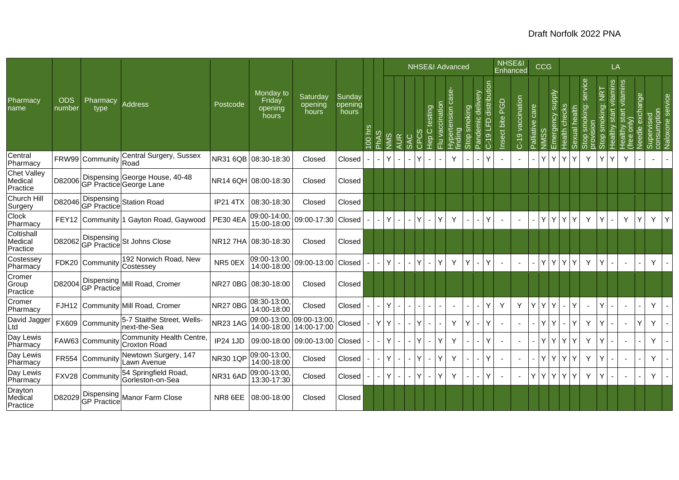|                                           |                      |                      |                                                           |                 |                                         |                              |                            |         |                             |      |                                            |                             | <b>NHSE&amp;I Advanced</b>         |                 |                                          |                        |                           |                                                | NHSE&I<br>Enhanced                   |                  |                    | CCG                             |               |                       |                                                   |                                          | LA                           |                                           |                                               |                                 |   |
|-------------------------------------------|----------------------|----------------------|-----------------------------------------------------------|-----------------|-----------------------------------------|------------------------------|----------------------------|---------|-----------------------------|------|--------------------------------------------|-----------------------------|------------------------------------|-----------------|------------------------------------------|------------------------|---------------------------|------------------------------------------------|--------------------------------------|------------------|--------------------|---------------------------------|---------------|-----------------------|---------------------------------------------------|------------------------------------------|------------------------------|-------------------------------------------|-----------------------------------------------|---------------------------------|---|
| Pharmacy<br>name                          | <b>ODS</b><br>number | Pharmacy<br>type     | <b>Address</b>                                            | Postcode        | Monday to<br>Friday<br>opening<br>hours | Saturday<br>opening<br>hours | Sunday<br>opening<br>hours | 100 hrs | S.<br><b>A<sub>dd</sub></b> | SIMN | <b>AUR</b><br>SAC                          | $\circ$<br>$\left( \right)$ | testing<br>Ō<br>۔<br><del>وا</del> | Flu vaccination | 9S<br>isue<br>Hyperte<br><u>fin</u> ding | smoking<br><b>Stol</b> | elivery<br>ਹ<br>emic<br>ă | distribution<br>$\overline{E}$<br>$\circ$<br>3 | <b>D</b> <sub>O</sub><br>Insect bite | C-19 vaccination | care<br>Palliative | Emergency supply<br><b>NMSS</b> | Health checks | health<br>exual<br>cΓ | service<br>king:<br>smol<br>Stop smo<br>provision | Ξ<br>oking:<br>Sm<br>$\beta$<br>$\omega$ | vitamins<br>start<br>lealthy | start vitamins<br>only)<br>Healthy<br>Tee | exchange<br>Supervised<br>Needle <sup>®</sup> | consumption<br>Naloxone service |   |
| Central<br>Pharmacy                       |                      | FRW99 Community Road | Central Surgery, Sussex                                   |                 | NR31 6QB 08:30-18:30                    | Closed                       | Closed                     |         |                             | Y.   | $\sim$                                     |                             | $\blacksquare$                     |                 | Y                                        |                        |                           | Ý                                              |                                      |                  |                    | Y<br>Y                          | Y             | Y                     | Y                                                 | Y                                        | Y                            | Y                                         |                                               |                                 |   |
| <b>Chet Valley</b><br>Medical<br>Practice | D82006               |                      | Dispensing George House, 40-48<br>GP Practice George Lane |                 | NR14 6QH 08:00-18:30                    | Closed                       | Closed                     |         |                             |      |                                            |                             |                                    |                 |                                          |                        |                           |                                                |                                      |                  |                    |                                 |               |                       |                                                   |                                          |                              |                                           |                                               |                                 |   |
| <b>Church Hill</b><br>Surgery             | D82046               |                      | Dispensing<br>GP Practice Station Road                    | <b>IP21 4TX</b> | 08:30-18:30                             | Closed                       | Closed                     |         |                             |      |                                            |                             |                                    |                 |                                          |                        |                           |                                                |                                      |                  |                    |                                 |               |                       |                                                   |                                          |                              |                                           |                                               |                                 |   |
| Clock<br>Pharmacy                         | <b>FEY12</b>         |                      | Community 1 Gayton Road, Gaywood                          | <b>PE30 4EA</b> | 09:00-14:00,<br>15:00-18:00             | 09:00-17:30                  | Closed                     |         |                             | Y    | $\blacksquare$<br>$\overline{\phantom{a}}$ |                             | $\overline{\phantom{0}}$           | Υ               | Υ                                        |                        |                           | Ý                                              |                                      |                  |                    | Y<br>Y                          | Y             | $\checkmark$          | Y                                                 | Y                                        |                              | Y                                         | Y                                             | Y                               | Y |
| Coltishall<br>Medical<br>Practice         | D82062               |                      | Dispensing St Johns Close<br>GP Practice St Johns Close   |                 |                                         | Closed                       | Closed                     |         |                             |      |                                            |                             |                                    |                 |                                          |                        |                           |                                                |                                      |                  |                    |                                 |               |                       |                                                   |                                          |                              |                                           |                                               |                                 |   |
| Costessey<br>Pharmacy                     |                      | FDK20 Community      | 192 Norwich Road, New<br>Costessey                        | NR5 0EX         | 09:00-13:00,<br>14:00-18:00             | 09:00-13:00 Closed           |                            |         | $\overline{\phantom{a}}$    | Y.   | $\sim$<br>$\sim$                           |                             | ÷.                                 | Υ               | Y                                        | Y                      |                           | Y                                              |                                      |                  |                    | Y.<br>Y                         | Y I           | Y                     | Y                                                 | Y                                        |                              | $\sim$                                    |                                               | Y                               |   |
| Cromer<br>Group<br>Practice               | D82004               |                      | Dispensing Mill Road, Cromer                              |                 | NR27 0BG 08:30-18:00                    | Closed                       | Closed                     |         |                             |      |                                            |                             |                                    |                 |                                          |                        |                           |                                                |                                      |                  |                    |                                 |               |                       |                                                   |                                          |                              |                                           |                                               |                                 |   |
| Cromer<br>Pharmacy                        |                      |                      | FJH12 Community Mill Road, Cromer                         | NR27 0BG        | 08:30-13:00,<br>14:00-18:00             | Closed                       | Closed                     |         |                             | Y.   |                                            |                             |                                    |                 |                                          |                        |                           | Ý                                              | $\mathsf{Y}$                         | Y                | Y                  | YY                              |               | $\checkmark$          | $\sim$                                            | Y                                        |                              | $\overline{\phantom{a}}$                  |                                               | Y                               |   |
| David Jagger<br>Ltd                       |                      | FX609 Community      | 5-7 Staithe Street, Wells-<br>next-the-Sea                | <b>NR231AG</b>  | 09:00-13:00,<br>14:00-18:00             | 09:00-13:00,<br>14:00-17:00  | Closed                     |         | Y                           | Y    | $\blacksquare$                             |                             | $\blacksquare$                     |                 | Y                                        | Y                      |                           | Ý                                              |                                      |                  |                    | Y<br>Y                          |               | Υ                     | Y                                                 | Y                                        |                              | $\overline{\phantom{a}}$                  | Y                                             | Y                               |   |
| Day Lewis<br>Pharmacy                     |                      | FAW63 Community      | <b>Community Health Centre</b><br>Croxton Road            | <b>IP24 1JD</b> | 09:00-18:00                             | 09:00-13:00                  | Closed                     |         |                             | Y.   | $\blacksquare$<br>$\blacksquare$           |                             |                                    | Υ               | Y                                        |                        |                           | Y                                              | $\overline{\phantom{a}}$             | $\blacksquare$   |                    | Y<br>Y                          | Y             |                       | Y                                                 | Y                                        |                              | $\sim$                                    |                                               | Y                               |   |
| Day Lewis<br>Pharmacy                     |                      | FR554 Community      | Newtown Surgery, 147<br>Lawn Avenue                       | <b>NR301QP</b>  | 09:00-13:00<br>14:00-18:00              | Closed                       | Closed                     |         |                             | Y.   |                                            |                             |                                    | Y               | Y                                        |                        |                           | Y                                              |                                      |                  |                    | Y<br>Y                          | Y             |                       | Y                                                 | Y                                        |                              | $\blacksquare$                            |                                               | Y                               |   |
| Day Lewis<br>Pharmacy                     |                      | FXV28 Community      | 54 Springfield Road,<br>Gorleston-on-Sea                  | NR31 6AD        | 09:00-13:00,<br>13:30-17:30             | Closed                       | Closed                     |         |                             | Y    |                                            |                             | $\overline{\phantom{0}}$           | Υ               | Y                                        |                        |                           | Ý                                              |                                      |                  | Υ                  | Y<br>Y                          | Y             |                       | Y                                                 | Y                                        |                              | $\overline{\phantom{a}}$                  |                                               | Y                               |   |
| Drayton<br>Medical<br>Practice            | D82029               |                      | Dispensing <br> GP Practice                               | NR8 6EE         | 08:00-18:00                             | Closed                       | Closed                     |         |                             |      |                                            |                             |                                    |                 |                                          |                        |                           |                                                |                                      |                  |                    |                                 |               |                       |                                                   |                                          |                              |                                           |                                               |                                 |   |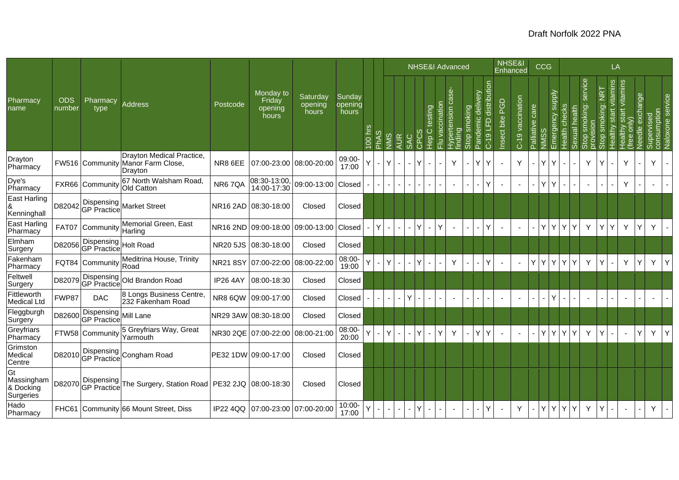|                                            |                      |                                     |                                                                           |                 |                                         |                              |                            |         |                           |      |            |                |                                           | NHSE&I Advanced                                           |                                        |                          |                                   |                          |                          | NHSE&I<br>Enhanced |                  |                 | <b>CCG</b> |                                   |                                  |                                |                                | LA                        |                                             |                    |                           |                  |
|--------------------------------------------|----------------------|-------------------------------------|---------------------------------------------------------------------------|-----------------|-----------------------------------------|------------------------------|----------------------------|---------|---------------------------|------|------------|----------------|-------------------------------------------|-----------------------------------------------------------|----------------------------------------|--------------------------|-----------------------------------|--------------------------|--------------------------|--------------------|------------------|-----------------|------------|-----------------------------------|----------------------------------|--------------------------------|--------------------------------|---------------------------|---------------------------------------------|--------------------|---------------------------|------------------|
| Pharmacy<br>name                           | <b>ODS</b><br>number | Pharmacy<br>type                    | <b>Address</b>                                                            | Postcode        | Monday to<br>Friday<br>opening<br>hours | Saturday<br>opening<br>hours | Sunday<br>opening<br>hours | 100 hrs | w<br><b>A<sub>N</sub></b> | SIMN | <b>AUR</b> | <b>SAC</b>     | $\overline{\overset{\circ}{\mathcal{C}}}$ | $\overline{\circ}$<br>testing<br>$\circ$<br>$\frac{6}{5}$ | $\ddot{\text{e}}$<br>ccinati<br>Flu va | Hypertension<br>finding  | smoking<br>$\Omega$<br><b>Sto</b> | delivery<br>emic<br>Pand | distribution<br>C-19 LFD | PGD<br>Insect bite | C-19 vaccination | Palliative care |            | Emergency supply<br>Health checks | 픙<br>ይ<br>ተ<br>exual<br>$\omega$ | service<br>smoking:<br>9d<br>ഗ | <b>Tak</b><br>smoking:<br>Stop | start vitamins<br>Healthy | start vitamins<br>only)<br>Healthy<br>(free | exchange<br>Needle | consumption<br>Supervised | Naloxone service |
| Drayton<br>Pharmacy                        |                      |                                     | Drayton Medical Practice,<br>FW516 Community Manor Farm Close,<br>Drayton | NR8 6EE         | 07:00-23:00 08:00-20:00                 |                              | 09:00-<br>17:00            |         |                           | Y.   |            |                | lΥ                                        | $\sim$                                                    |                                        | Y                        |                                   | $\vee$                   | Υ                        |                    | Y                |                 | Y          | Y                                 |                                  | Y                              |                                |                           | Y                                           |                    | Y.                        |                  |
| Dye's<br>Pharmacy                          |                      | FXR66 Community                     | 67 North Walsham Road.<br>Old Catton                                      | NR67QA          | 08:30-13:00,<br>14:00-17:30             | 09:00-13:00                  | Closed                     |         |                           |      |            |                |                                           |                                                           |                                        | $\sim$                   |                                   |                          | Y                        |                    |                  |                 | Y.         | Y                                 |                                  | $\sim$                         |                                |                           | Y                                           |                    |                           |                  |
| East Harling<br>&<br>Kenninghall           | D82042               |                                     | Dispensing<br>GP Practice Market Street                                   |                 | NR16 2AD 08:30-18:00                    | Closed                       | Closed                     |         |                           |      |            |                |                                           |                                                           |                                        |                          |                                   |                          |                          |                    |                  |                 |            |                                   |                                  |                                |                                |                           |                                             |                    |                           |                  |
| East Harling<br>Pharmacy                   | <b>FAT07</b>         | Community                           | Memorial Green, East<br>Harling                                           |                 | NR16 2ND 09:00-18:00 09:00-13:00        |                              | Closed                     |         | Y                         |      |            |                | ΙY                                        | Y<br>÷.                                                   |                                        | $\sim$                   |                                   |                          | Y                        |                    |                  |                 | ΥI         | Y<br>IY.                          | Y                                | Y                              |                                | Υ                         | Y                                           | Υ                  | Y                         | $\overline{a}$   |
| Elmham<br>Surgery                          |                      | D82056 Dispensing<br>GP Practice    | Holt Road                                                                 |                 | NR20 5JS 08:30-18:00                    | Closed                       | Closed                     |         |                           |      |            |                |                                           |                                                           |                                        |                          |                                   |                          |                          |                    |                  |                 |            |                                   |                                  |                                |                                |                           |                                             |                    |                           |                  |
| Fakenham<br>Pharmacy                       |                      | FQT84 Community                     | Meditrina House, Trinity<br>Road                                          | <b>NR218SY</b>  | 07:00-22:00                             | 08:00-22:00                  | 08:00-<br>19:00            |         |                           | Y.   |            | $\blacksquare$ | l٧                                        | $\sim$                                                    |                                        | Y                        | $\overline{\phantom{0}}$          |                          | Ý                        |                    |                  | Y               | Y          | Y<br>Y                            | Y                                | Y                              |                                | $\blacksquare$            | Y                                           | Ý                  | Y.                        | Y                |
| Feltwell<br>Surgery                        |                      | D82079 Dispensing                   | Old Brandon Road                                                          | <b>IP26 4AY</b> | 08:00-18:30                             | Closed                       | Closed                     |         |                           |      |            |                |                                           |                                                           |                                        |                          |                                   |                          |                          |                    |                  |                 |            |                                   |                                  |                                |                                |                           |                                             |                    |                           |                  |
| Fittleworth<br><b>Medical Ltd</b>          | FWP87                | <b>DAC</b>                          | 8 Longs Business Centre,<br>232 Fakenham Road                             | NR8 6QW         | 09:00-17:00                             | Closed                       | Closed                     |         |                           |      |            | Υ              |                                           |                                                           |                                        | $\overline{\phantom{a}}$ |                                   |                          |                          |                    |                  |                 |            | Y                                 |                                  | $\blacksquare$                 |                                | $\overline{\phantom{a}}$  |                                             |                    |                           |                  |
| Fleggburgh<br>Surgery                      | D82600               | Dispensing<br>GP Practice Mill Lane |                                                                           |                 | NR29 3AW 08:30-18:00                    | Closed                       | Closed                     |         |                           |      |            |                |                                           |                                                           |                                        |                          |                                   |                          |                          |                    |                  |                 |            |                                   |                                  |                                |                                |                           |                                             |                    |                           |                  |
| Greyfriars<br>Pharmacy                     |                      | FTW58 Community                     | 5 Greyfriars Way, Great<br>Yarmouth                                       |                 | NR30 2QE 07:00-22:00                    | 08:00-21:00                  | 08:00-<br>20:00            |         |                           | Y.   |            |                | $\mathsf{Y}$                              | Y                                                         |                                        | Y                        |                                   | v                        | Y                        |                    |                  |                 | ΥI         | Y<br>Y                            | Y                                | Y                              | Y                              |                           |                                             | Υ                  | Y.                        | Y                |
| Grimston<br>Medical<br>Centre              | D82010               | <b>GP</b> Practice                  | Dispensing Congham Road                                                   |                 | PE32 1DW 09:00-17:00                    | Closed                       | Closed                     |         |                           |      |            |                |                                           |                                                           |                                        |                          |                                   |                          |                          |                    |                  |                 |            |                                   |                                  |                                |                                |                           |                                             |                    |                           |                  |
| Gt<br>Massingham<br>& Docking<br>Surgeries | D82070               | <b>GP</b> Practice                  | Dispensing The Surgery, Station Road   PE32 2JQ   08:00-18:30             |                 |                                         | Closed                       | Closed                     |         |                           |      |            |                |                                           |                                                           |                                        |                          |                                   |                          |                          |                    |                  |                 |            |                                   |                                  |                                |                                |                           |                                             |                    |                           |                  |
| Hado<br>Pharmacy                           |                      |                                     | FHC61 Community 66 Mount Street, Diss                                     |                 | IP22 4QQ   07:00-23:00   07:00-20:00    |                              | $10:00 -$<br>17:00         |         |                           |      |            |                |                                           |                                                           |                                        |                          |                                   |                          | Y                        |                    | Y                |                 |            | YYY                               | Y                                | Y                              |                                |                           |                                             |                    | Y                         |                  |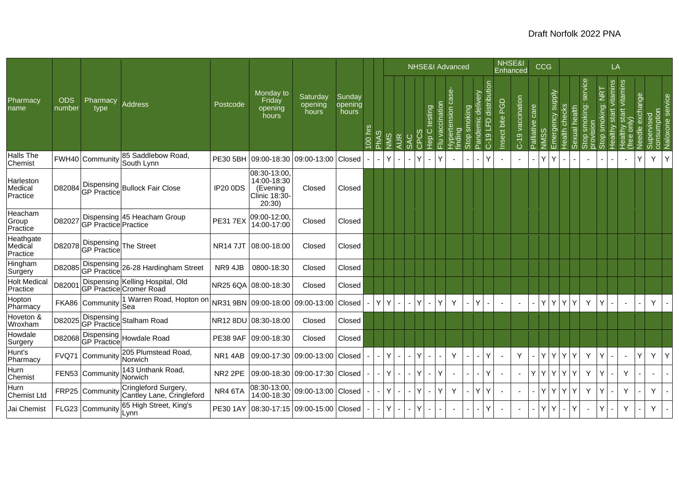|                                  |                      |                                             |                                                             |                     |                                                                   |                              |                            |         |                 |    |            |                                     |                 |                                 | <b>NHSE&amp;I Advanced</b> |                      |                                          | NHSE&I                    | Enhanced         |                 | CCG |                                             |                    |                                   |                                    | LA                          |                                   |                                  |             |                  |
|----------------------------------|----------------------|---------------------------------------------|-------------------------------------------------------------|---------------------|-------------------------------------------------------------------|------------------------------|----------------------------|---------|-----------------|----|------------|-------------------------------------|-----------------|---------------------------------|----------------------------|----------------------|------------------------------------------|---------------------------|------------------|-----------------|-----|---------------------------------------------|--------------------|-----------------------------------|------------------------------------|-----------------------------|-----------------------------------|----------------------------------|-------------|------------------|
| Pharmacy<br>name                 | <b>ODS</b><br>number | Pharmacy<br>type                            | <b>Address</b>                                              | Postcode            | Monday to<br>Friday<br>opening<br>hours                           | Saturday<br>opening<br>hours | Sunday<br>opening<br>hours | 100 hrs | w<br><b>PhA</b> | ທ່ | <b>AUR</b> | testing<br>$\circ$<br>$\frac{6}{5}$ | Flu vaccination | 9S<br>$\overline{5}$<br>ertensi | moking<br>Stop             | elivery<br>O<br>emic | distribution<br>$\overline{a}$<br>$C-19$ | <b>PGD</b><br>Insect bite | C-19 vaccination | Palliative care | NMS | <b>Ziddns</b><br>Health checks<br>Emergency | alth<br>ይ<br>exual | service<br>king:<br>혿<br>$\delta$ | Ξ<br>ioking:<br>ळ<br>$\Omega$<br>M | vitamins<br>start<br>ealthy | start vitamins<br>only)<br>ealthy | exchange<br>Supervised<br>Needle | consumption | Naloxone service |
| Halls The<br>Chemist             |                      | FWH40 Community                             | 85 Saddlebow Road,<br>South Lynn                            | <b>PE30 5BH</b>     | 09:00-18:30 09:00-13:00 Closed                                    |                              |                            |         |                 | Y  |            | $\overline{\phantom{0}}$            | Υ               |                                 | $\blacksquare$             |                      | Y                                        |                           |                  |                 | Y   | Y                                           |                    | $\overline{\phantom{a}}$          |                                    |                             | $\overline{\phantom{a}}$          | Υ                                | Y           | Y                |
| Harleston<br>Medical<br>Practice | D82084               |                                             | Dispensing<br>GP Practice Bullock Fair Close                | <b>IP20 0DS</b>     | 08:30-13:00<br>14:00-18:30<br>(Evening<br>Clinic 18:30-<br>20:30) | Closed                       | Closed                     |         |                 |    |            |                                     |                 |                                 |                            |                      |                                          |                           |                  |                 |     |                                             |                    |                                   |                                    |                             |                                   |                                  |             |                  |
| Heacham<br>Group<br>Practice     | D82027               | GP Practice Practice                        | Dispensing 45 Heacham Group                                 | <b>PE317EX</b>      | 09:00-12:00<br>14:00-17:00                                        | Closed                       | Closed                     |         |                 |    |            |                                     |                 |                                 |                            |                      |                                          |                           |                  |                 |     |                                             |                    |                                   |                                    |                             |                                   |                                  |             |                  |
| Heathgate<br>Medical<br>Practice | D82078               | Dispensing The Street<br><b>GP</b> Practice |                                                             | <b>NR147JT</b>      | 08:00-18:00                                                       | Closed                       | Closed                     |         |                 |    |            |                                     |                 |                                 |                            |                      |                                          |                           |                  |                 |     |                                             |                    |                                   |                                    |                             |                                   |                                  |             |                  |
| Hingham<br>Surgery               | D82085               | GP Practice                                 | Dispensing 26-28 Hardingham Street                          | NR9 4JB             | 0800-18:30                                                        | Closed                       | Closed                     |         |                 |    |            |                                     |                 |                                 |                            |                      |                                          |                           |                  |                 |     |                                             |                    |                                   |                                    |                             |                                   |                                  |             |                  |
| <b>Holt Medical</b><br>Practice  | D82001               |                                             | Dispensing Kelling Hospital, Old<br>GP Practice Cromer Road |                     | NR25 6QA 08:00-18:30                                              | Closed                       | Closed                     |         |                 |    |            |                                     |                 |                                 |                            |                      |                                          |                           |                  |                 |     |                                             |                    |                                   |                                    |                             |                                   |                                  |             |                  |
| Hopton<br>Pharmacy               |                      | FKA86 Community                             | 1 Warren Road, Hopton on<br>Sea                             |                     | NR31 9BN 09:00-18:00 09:00-13:00                                  |                              | Closed                     |         | Y               | Y  |            |                                     | Y               | Υ                               |                            | Y                    |                                          |                           |                  |                 | Y   | Y.<br>Y                                     |                    | Y                                 | Y                                  |                             | $\overline{\phantom{a}}$          |                                  | Y           |                  |
| Hoveton &<br>Wroxham             | D82025               |                                             | Dispensing<br>GP Practice Stalham Road                      |                     | NR12 8DU 08:30-18:00                                              | Closed                       | Closed                     |         |                 |    |            |                                     |                 |                                 |                            |                      |                                          |                           |                  |                 |     |                                             |                    |                                   |                                    |                             |                                   |                                  |             |                  |
| Howdale<br>Surgery               |                      |                                             | D82068 Dispensing Howdale Road                              | <b>PE38 9AF</b>     | 09:00-18:30                                                       | Closed                       | Closed                     |         |                 |    |            |                                     |                 |                                 |                            |                      |                                          |                           |                  |                 |     |                                             |                    |                                   |                                    |                             |                                   |                                  |             |                  |
| Hunt's<br>Pharmacy               |                      | FVQ71 Community                             | 205 Plumstead Road,<br>Norwich                              | NR14AB              |                                                                   | 09:00-17:30 09:00-13:00      | Closed                     |         |                 | Y  |            | $\blacksquare$                      |                 | Y                               |                            |                      | Y                                        |                           | Y                |                 | Y   | Y.<br>Y                                     |                    | Y                                 | Y                                  |                             | $\overline{\phantom{a}}$          | Y                                | Y           | Y                |
| Hurn<br>Chemist                  |                      | FEN53 Community                             | 143 Unthank Road,<br>Norwich                                | NR <sub>2</sub> 2PE |                                                                   | 09:00-18:30 09:00-17:30      | Closed                     |         |                 | Y  |            | ÷.                                  | Y               |                                 | ÷.                         |                      | Ý                                        |                           | ÷.               | Y               | YY  | Y.                                          | Y                  | Y                                 | Y                                  |                             | Y                                 |                                  |             |                  |
| Hurn<br>Chemist Ltd              |                      | FRP25 Community                             | Cringleford Surgery,<br>Cantley Lane, Cringleford           | NR4 6TA             | 08:30-13:00,<br>14:00-18:30                                       | 09:00-13:00 Closed           |                            |         |                 | Y  |            |                                     | Y               | Y                               |                            |                      | Y                                        |                           |                  |                 | Y   | Y.<br>Y                                     |                    | Y                                 | Y                                  |                             | Y                                 |                                  | Y           |                  |
| Jai Chemist                      |                      | FLG23 Community                             | 65 High Street, King's<br>Lynn                              |                     | PE30 1AY   08:30-17:15   09:00-15:00   Closed                     |                              |                            |         |                 | Y  |            |                                     |                 |                                 |                            |                      | Y                                        |                           |                  |                 | Y.  | Y                                           |                    |                                   | Y                                  |                             | Y                                 |                                  | Y           |                  |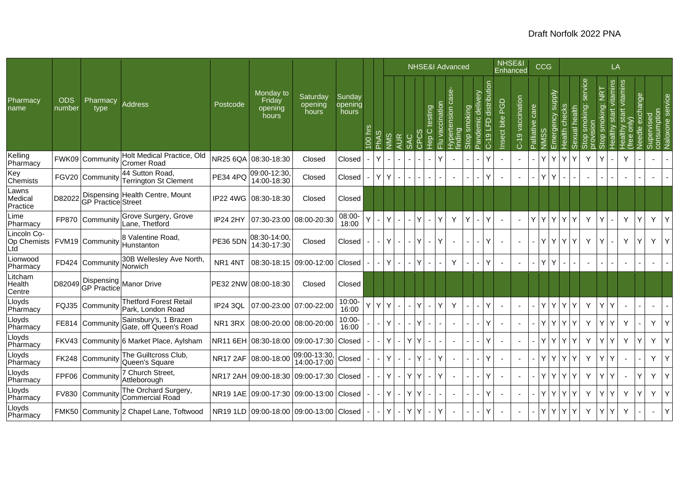|                                                     |                      |                    |                                                           |                     |                                         |                              |                            |            |                             |     |                |     |     | <b>NHSE&amp;I Advanced</b>                                |                                     |              |            |                                                     | NHSE&I             | <b>Enhanced</b>  |                 | <b>CCG</b> |                                                   |                |                    |                                    | LA                                    |                                        |                        |                           |                  |
|-----------------------------------------------------|----------------------|--------------------|-----------------------------------------------------------|---------------------|-----------------------------------------|------------------------------|----------------------------|------------|-----------------------------|-----|----------------|-----|-----|-----------------------------------------------------------|-------------------------------------|--------------|------------|-----------------------------------------------------|--------------------|------------------|-----------------|------------|---------------------------------------------------|----------------|--------------------|------------------------------------|---------------------------------------|----------------------------------------|------------------------|---------------------------|------------------|
| Pharmacy<br>name                                    | <b>ODS</b><br>number | Pharmacy<br>type   | <b>Address</b>                                            | Postcode            | Monday to<br>Friday<br>opening<br>hours | Saturday<br>opening<br>hours | Sunday<br>opening<br>hours | hrs<br>001 | ဖာ<br><b>A<sub>r</sub>q</b> | SMN | <b>AUR</b>     | SAC |     | vaccination<br>testing<br>$\circ$<br><b>O</b><br>Hep<br>룬 | 9S<br>rtension<br>Hypert<br>finding | smoking<br>Ö | ivery<br>Ō | distribution<br>emic<br>$\Xi$<br>$\frac{6}{5}$<br>ڻ | PGD<br>Insect bite | C-19 vaccination | Palliative care | SSMN       | Emergency supply<br>checks<br>Health <sup>(</sup> | health<br>kual | service<br>noking: | $\frac{2}{5}$<br>king:<br>$\Omega$ | vitamins<br>$\frac{1}{100}$<br>ealthy | start vitamins<br>ONIN)<br>ealthy<br>Φ | exchange<br>eedle<br>z | consumption<br>Supervised | Naloxone service |
| Kelling<br>Pharmacy                                 |                      |                    | Holt Medical Practice, Old<br>FWK09 Community Cromer Road | <b>NR25 6QA</b>     | 08:30-18:30                             | Closed                       | Closed                     |            | Y                           |     |                |     |     |                                                           |                                     |              |            | Υ                                                   |                    |                  |                 | Y          | Υ                                                 | Υ              | Y                  | Υ                                  |                                       | Y                                      |                        |                           |                  |
| Key<br><b>Chemists</b>                              |                      | FGV20 Community    | 44 Sutton Road,<br><b>Terrington St Clement</b>           | <b>PE34 4PQ</b>     | 09:00-12:30<br>14:00-18:30              | Closed                       | Closed                     |            | Y                           | Y   |                |     |     |                                                           | $\sim$                              |              |            | Ý                                                   |                    |                  |                 | Y          | Y                                                 |                | ä,                 |                                    |                                       |                                        |                        |                           |                  |
| Lawns<br>Medical<br>Practice                        | D82022               | GP Practice Street | Dispensing Health Centre, Mount                           | <b>IP22 4WG</b>     | 08:30-18:30                             | Closed                       | Closed                     |            |                             |     |                |     |     |                                                           |                                     |              |            |                                                     |                    |                  |                 |            |                                                   |                |                    |                                    |                                       |                                        |                        |                           |                  |
| Lime<br>Pharmacy                                    |                      | FP870 Community    | Grove Surgery, Grove<br>Lane, Thetford                    | <b>IP24 2HY</b>     | 07:30-23:00                             | 08:00-20:30                  | 08:00-<br>18:00            |            |                             | Y   |                |     | l Y | Y<br>$\overline{\phantom{0}}$                             | Y                                   | Y            |            | Ý                                                   |                    |                  | Y               | Y          | Υ<br>Y                                            | Y              | Y                  | Y                                  |                                       | Y                                      | Υ                      | Y                         | Y                |
| Lincoln Co-<br>Op Chemists   FVM19 Community<br>Ltd |                      |                    | 8 Valentine Road,<br>Hunstanton                           | <b>PE36 5DN</b>     | 08:30-14:00<br>14:30-17:30              | Closed                       | Closed                     |            |                             | Y   |                |     | ΙY  | $\mathbf{r}$                                              |                                     |              |            | Υ                                                   |                    |                  |                 | Y          | YY                                                | Y              | Y                  | Y                                  |                                       | Y                                      | Y                      | Y                         | Y                |
| Lionwood<br>Pharmacy                                |                      | FD424 Community    | 30B Wellesley Ave North,<br>Norwich                       | NR <sub>1</sub> 4NT | 08:30-18:15                             | 09:00-12:00                  | Closed                     |            |                             | Y   | $\blacksquare$ |     | ΙY  | $\sim$                                                    | Y                                   |              |            | Y                                                   |                    |                  |                 | Y.<br>Y    |                                                   |                | $\sim$             |                                    |                                       |                                        |                        |                           |                  |
| Litcham<br>Health<br>Centre                         | D82049               |                    | Dispensing<br>GP Practice Manor Drive                     |                     | PE32 2NW 08:00-18:30                    | Closed                       | Closed                     |            |                             |     |                |     |     |                                                           |                                     |              |            |                                                     |                    |                  |                 |            |                                                   |                |                    |                                    |                                       |                                        |                        |                           |                  |
| Lloyds<br>Pharmacy                                  |                      | FQJ35 Community    | <b>Thetford Forest Retail</b><br>Park, London Road        | <b>IP24 3QL</b>     |                                         | 07:00-23:00 07:00-22:00      | $10:00 -$<br>16:00         | Ý          | Y                           | Y   |                |     |     | Y                                                         | Y                                   |              |            | Ý                                                   |                    |                  |                 | Y          | Y<br>Y                                            | Y              | Y                  | Y                                  | Y                                     |                                        |                        |                           |                  |
| Lloyds<br>Pharmacy                                  |                      | FE814 Community    | Sainsbury's, 1 Brazen<br>Gate, off Queen's Road           | NR1 3RX             | 08:00-20:00 08:00-20:00                 |                              | $10:00 -$<br>16:00         |            |                             |     |                |     |     |                                                           |                                     |              |            | Ý                                                   |                    |                  |                 | Y          | Y<br>Y                                            | Y              | Y                  | Y                                  | Υ                                     | Y                                      |                        | Y                         | Y                |
| Lloyds<br>Pharmacy                                  | FKV43                |                    | Community 6 Market Place, Aylsham                         | <b>NR11 6EH</b>     | 08:30-18:00                             | 09:00-17:30                  | Closed                     |            |                             | Y.  | $\overline{a}$ | Y   |     | $\blacksquare$                                            | $\sim$                              |              |            | Ý                                                   |                    |                  |                 | Y          | Y<br>Y                                            | Y              | Y                  | Y                                  | Υ                                     | Y                                      | Y                      | Y                         | Y                |
| Lloyds<br>Pharmacy                                  |                      | FK248 Community    | The Guiltcross Club,<br>Queen's Square                    |                     | NR17 2AF 08:00-18:00                    | 09:00-13:30,<br>14:00-17:00  | Closed                     |            |                             | Y   |                |     |     | Y                                                         | $\overline{a}$                      |              |            | Ý                                                   |                    |                  |                 | Y          | Y<br>Y                                            | Y              | Y                  | Y                                  | Y                                     |                                        |                        | Y                         | Y                |
| Lloyds<br>Pharmacy                                  |                      | FPF06 Communit     | 7 Church Street,<br>Attleborough                          | <b>NR17 2AH</b>     | 09:00-18:30                             | 09:00-17:30                  | Closed                     |            |                             | Y.  |                | Y   |     | Ÿ                                                         |                                     |              |            | Ý                                                   |                    |                  |                 | Y.         | Y<br>Y                                            | Y              | Y                  | Y                                  | Y                                     |                                        | Y                      | Y                         | Y                |
| Lloyds<br>Pharmacy                                  |                      | FV830 Community    | The Orchard Surgery,<br>Commercial Road                   |                     | NR19 1AE 09:00-17:30 09:00-13:00 Closed |                              |                            |            |                             | Y.  | $\sim$         | YY  |     | $\sim$                                                    | $\sim$                              |              |            | Y                                                   |                    |                  |                 | Y.         | Y<br>Y.                                           | Y              | Y                  | Y                                  | Υ                                     | Y                                      | Y                      | Y                         | Υ                |
| Lloyds<br>Pharmacy                                  |                      |                    | FMK50 Community 2 Chapel Lane, Toftwood                   |                     | NR19 1LD 09:00-18:00 09:00-13:00 Closed |                              |                            |            |                             |     |                | Υ   |     |                                                           |                                     |              |            | Ý                                                   |                    |                  |                 | Y.         | Y<br>Y                                            | Y              | Y                  | Y                                  | Υ                                     | Y                                      |                        |                           |                  |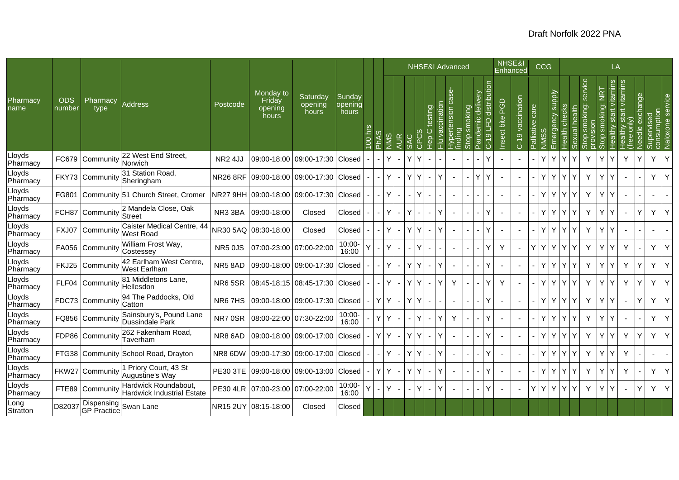|                    |                      |                                     |                                                    |                 |                                         |                                |                            |          |   |               |     |   |                                     |                          | <b>NHSE&amp;I Advanced</b> |                |                         |                                  | NHSE&I<br>Enhanced |                  |                    | CCG                                            |               |          |                    |                                 | LA                          |                                     |                    |                           |              |
|--------------------|----------------------|-------------------------------------|----------------------------------------------------|-----------------|-----------------------------------------|--------------------------------|----------------------------|----------|---|---------------|-----|---|-------------------------------------|--------------------------|----------------------------|----------------|-------------------------|----------------------------------|--------------------|------------------|--------------------|------------------------------------------------|---------------|----------|--------------------|---------------------------------|-----------------------------|-------------------------------------|--------------------|---------------------------|--------------|
| Pharmacy<br>name   | <b>ODS</b><br>number | Pharmacy<br>type                    | <b>Address</b>                                     | Postcode        | Monday to<br>Friday<br>opening<br>hours | Saturday<br>opening<br>hours   | Sunday<br>opening<br>hours | Pic<br>8 |   | $\frac{2}{2}$ | 4UR | Q | testing<br>$\circ$<br>$\frac{6}{5}$ | nation<br>$\mathfrak{g}$ | iensi<br>ာ                 | noking         | delivery<br>emic<br>and | distribution<br>ն<br>5<br>$C-19$ | PGD<br>Insect bite | C-19 vaccination | care<br>Palliative | <b>Addns</b><br><i><u><b>Imergency</b></u></i> | Health checks | 픊<br>len | service<br>moking: | <b>TAI</b><br>king:<br><u>o</u> | vitamins<br>start<br>ealthy | start vitamins<br>$\overline{conv}$ | exchange<br>Veedle | consumption<br>Supervised | Naloxone ser |
| Lloyds<br>Pharmacy | FC679                | Community                           | 22 West End Street,<br>Norwich                     | <b>NR2 4JJ</b>  |                                         | 09:00-18:00 09:00-17:30 Closed |                            |          |   | Y             |     | ٧ |                                     |                          |                            |                |                         | v                                |                    |                  |                    | Y                                              | Y             | Y        | Y                  |                                 | Y                           | Y                                   | Y                  | Y.                        | Y            |
| Lloyds<br>Pharmacy |                      |                                     | FKY73 Community 31 Station Road,                   | <b>NR26 8RF</b> | 09:00-18:00 09:00-17:30 Closed          |                                |                            |          |   | Y             |     | Y |                                     | ٧                        |                            |                | Y                       | Υ                                |                    |                  |                    | Y                                              | Y             | Y        | Y                  |                                 | Y                           |                                     |                    | Y.                        | Y            |
| Lloyds<br>Pharmacy |                      |                                     | FG801 Community 51 Church Street, Cromer           | NR27 9HH        |                                         | 09:00-18:00 09:00-17:30 Closed |                            |          |   | Υ             |     |   |                                     |                          |                            |                |                         |                                  |                    |                  |                    | Y<br>Y                                         | Y             | Y        | Y                  |                                 | Υ                           |                                     |                    |                           |              |
| Lloyds<br>Pharmacy | FCH87                | Community                           | 2 Mandela Close, Oak<br>Street                     | NR3 3BA         | 09:00-18:00                             | Closed                         | Closed                     |          |   | Y             |     | Y |                                     | Y                        | $\blacksquare$             |                |                         | Υ                                |                    |                  |                    | Y                                              | Y             | Y        | Y                  |                                 | Y                           |                                     | Y                  | Y.                        | Y            |
| Lloyds<br>Pharmacy | FXJ07                | Community                           | Caister Medical Centre, 44<br><b>West Road</b>     |                 | NR30 5AQ 08:30-18:00                    | Closed                         | Closed                     |          |   | Y             |     | Y |                                     | Y                        |                            |                |                         | Ý                                |                    |                  |                    | Y                                              | Y             | Y        | Y                  |                                 | Y                           |                                     |                    |                           |              |
| Lloyds<br>Pharmacy |                      | FA056 Community                     | William Frost Way,<br>Costessey                    | <b>NR5 0JS</b>  | 07:00-23:00 07:00-22:00                 |                                | 10:00-<br>16:00            |          |   |               |     |   |                                     |                          |                            |                |                         | Y                                | Y                  |                  | Y                  | Y<br>$\mathsf{Y}$                              | $\mathsf{Y}$  | Y        | Y                  |                                 | Υ                           | Y                                   |                    | Y.                        | Y            |
| Lloyds<br>Pharmacy | <b>FKJ25</b>         | Community                           | 42 Earlham West Centre<br><b>West Earlham</b>      | NR5 8AD         |                                         | 09:00-18:00 09:00-17:30        | Closed                     |          |   | Y             |     | Y | Y                                   | Y                        |                            |                |                         | Υ                                |                    |                  |                    | Y<br>Y                                         | Y             | Y        | Y                  |                                 | Y                           | Y                                   | Y                  | Y                         | Y            |
| Lloyds<br>Pharmacy |                      | FLF04 Community                     | 81 Middletons Lane,<br>Hellesdon                   | <b>NR6 5SR</b>  |                                         | 08:45-18:15 08:45-17:30 Closed |                            |          |   | Y             |     | Y |                                     | Y                        | Y                          |                |                         | v                                | Y                  |                  |                    | Y                                              | Y             | Y        | Y                  |                                 | Υ                           | Y                                   | Υ                  | Y.                        | Y            |
| Lloyds<br>Pharmacy |                      | FDC73 Community                     | 94 The Paddocks, Old<br>Catton                     | NR67HS          |                                         | 09:00-18:00 09:00-17:30 Closed |                            |          | Y | Y             |     | Y |                                     |                          |                            |                |                         | Υ                                |                    |                  |                    | Y                                              | Y             | Y        | Y                  |                                 | Υ                           |                                     | Ý                  | Y.                        | Y            |
| Lloyds<br>Pharmacy |                      | FQ856 Communit                      | Sainsbury's, Pound Lane<br>Dussindale Park         | NR7 0SR         | 08:00-22:00 07:30-22:00                 |                                | 10:00-<br>16:00            |          |   | Y             |     |   |                                     | Y                        | Y                          |                |                         | Y                                |                    |                  |                    | Y<br>Y                                         | Y             | Y        | Y                  |                                 | Υ                           |                                     |                    | Y.                        | Y            |
| Lloyds<br>Pharmacy | FDP86                | Community                           | 262 Fakenham Road,<br>Taverham                     | NR8 6AD         |                                         | 09:00-18:00 09:00-17:00        | Closed                     |          | Y | Y             |     | Y | Y                                   | Y                        |                            |                |                         | Υ                                |                    |                  |                    | Y                                              | Y             | Y        | Y                  |                                 | Y                           | Y                                   | Y                  | Y.                        | Y            |
| Lloyds<br>Pharmacy |                      |                                     | FTG38 Community School Road, Drayton               | NR8 6DW         |                                         | 09:00-17:30 09:00-17:00 Closed |                            |          |   | Y             |     | Y | Y                                   | Y                        |                            |                |                         | Y                                |                    |                  |                    | Y.                                             | Y             | Y        | Y                  |                                 | Y                           | Y                                   |                    |                           |              |
| Lloyds<br>Pharmacy |                      | FKW27 Community                     | 1 Priory Court, 43 St<br>Augustine's Way           | <b>PE30 3TE</b> | 09:00-18:00 09:00-13:00 Closed          |                                |                            |          | Y | Y             |     | Y | Y                                   | Y                        |                            |                |                         | Y                                |                    |                  |                    | Y<br>Υ                                         | Y             | Y        | Y                  |                                 | Υ                           | Y                                   |                    | Y.                        | Y            |
| Lloyds<br>Pharmacy |                      | FTE89 Community                     | Hardwick Roundabout,<br>Hardwick Industrial Estate |                 | PE30 4LR 07:00-23:00 07:00-22:00        |                                | 10:00-<br>16:00            |          |   | Y             |     |   | Y<br>$\blacksquare$                 | Y                        | $\blacksquare$             | $\blacksquare$ |                         | Y                                |                    |                  | Y                  | Y                                              | YY            | Y        | Y                  |                                 | Y                           |                                     | Y                  | Y.                        | Y            |
| Long<br>Stratton   | D82037               | Dispensing<br>GP Practice Swan Lane |                                                    |                 | NR15 2UY 08:15-18:00                    | Closed                         | Closed                     |          |   |               |     |   |                                     |                          |                            |                |                         |                                  |                    |                  |                    |                                                |               |          |                    |                                 |                             |                                     |                    |                           |              |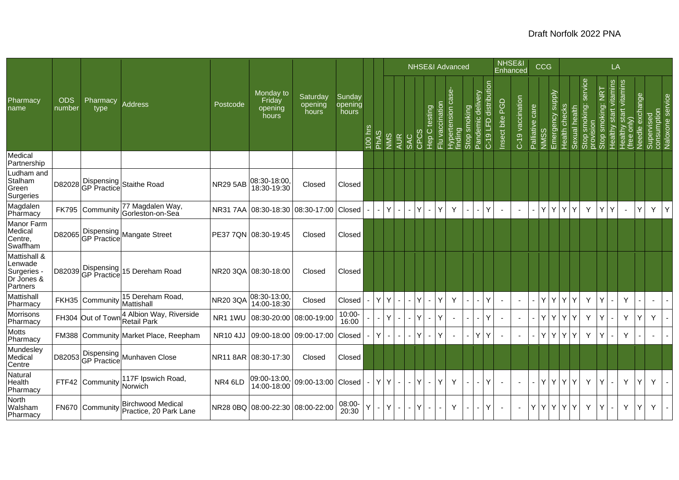|                                                                |                      |                           |                                                    |                 |                                         |                              |                            |                          |             |     |                          |             |                       |                 | <b>NHSE&amp;I Advanced</b>                        |                          |                      |                          | NHSE&I          | Enhanced                 |                 | <b>CCG</b>        |                                   |               |                                         |                                   | LA                        |                                          |                 |                                               |   |
|----------------------------------------------------------------|----------------------|---------------------------|----------------------------------------------------|-----------------|-----------------------------------------|------------------------------|----------------------------|--------------------------|-------------|-----|--------------------------|-------------|-----------------------|-----------------|---------------------------------------------------|--------------------------|----------------------|--------------------------|-----------------|--------------------------|-----------------|-------------------|-----------------------------------|---------------|-----------------------------------------|-----------------------------------|---------------------------|------------------------------------------|-----------------|-----------------------------------------------|---|
| Pharmacy<br>name                                               | <b>ODS</b><br>number | Pharmacy<br>type          | <b>Address</b>                                     | Postcode        | Monday to<br>Friday<br>opening<br>hours | Saturday<br>opening<br>hours | Sunday<br>opening<br>hours | 00 hrs                   | <b>PhAS</b> | NMS | <b>AUR</b><br><b>SAC</b> | $\tilde{c}$ | testing<br>C<br>Hep C | Flu vaccination | <u>ės</u><br>Hypertension <sub>(</sub><br>finding | Stop smoking             | elivery<br>⊃<br>emic | distribution<br>C-19 LFD | Insect bite PGD | C-19 vaccination         | Palliative care | SSMN              | Emergency supply<br>Health checks | Sexual health | service<br>Stop smoking: :<br>provision | $\frac{1}{2}$<br>smoking:<br>Stop | vitamins<br>Healthy start | start vitamins<br>(free only)<br>Healthy | Needle exchange | Supervised<br>consumption<br>Naloxone service |   |
| Medical<br>Partnership                                         |                      |                           |                                                    |                 |                                         |                              |                            |                          |             |     |                          |             |                       |                 |                                                   |                          |                      |                          |                 |                          |                 |                   |                                   |               |                                         |                                   |                           |                                          |                 |                                               |   |
| Ludham and<br>Stalham<br>Green<br>Surgeries                    | D82028               |                           | Staithe Road                                       | <b>NR29 5AB</b> | 08:30-18:00<br>18:30-19:30              | Closed                       | Closed                     |                          |             |     |                          |             |                       |                 |                                                   |                          |                      |                          |                 |                          |                 |                   |                                   |               |                                         |                                   |                           |                                          |                 |                                               |   |
| Magdalen<br>Pharmacy                                           |                      | FK795 Community           | 77 Magdalen Way,<br>Gorleston-on-Sea               | <b>NR317AA</b>  | 08:30-18:30 08:30-17:00                 |                              | Closed                     |                          |             | Y   | $\blacksquare$           | Y           | $\sim$                | Y               | Y                                                 |                          |                      | Y                        | $\blacksquare$  | $\overline{\phantom{a}}$ |                 | YY                | Y I                               | Y             | Y                                       | Y                                 | Y                         | $\blacksquare$                           | Y               | Y                                             | Υ |
| Manor Farm<br>Medical<br>Centre,<br>Swaffham                   | D82065               |                           | Dispensing<br>GP Practice Mangate Street           |                 | PE37 7QN 08:30-19:45                    | Closed                       | Closed                     |                          |             |     |                          |             |                       |                 |                                                   |                          |                      |                          |                 |                          |                 |                   |                                   |               |                                         |                                   |                           |                                          |                 |                                               |   |
| Mattishall &<br>Lenwade<br>Surgeries<br>Dr Jones &<br>Partners | D82039               | Dispensing<br>GP Practice | 15 Dereham Road                                    |                 | NR20 3QA 08:30-18:00                    | Closed                       | Closed                     |                          |             |     |                          |             |                       |                 |                                                   |                          |                      |                          |                 |                          |                 |                   |                                   |               |                                         |                                   |                           |                                          |                 |                                               |   |
| Mattishall<br>Pharmacy                                         |                      | FKH35 Community           | 15 Dereham Road,<br>Mattishall                     | <b>NR20 3QA</b> | 08:30-13:00<br>14:00-18:30              | Closed                       | Closed                     |                          | Y           | Y   | $\blacksquare$           | Y           | $\sim$                | Y               | Y                                                 |                          |                      | Y                        | ÷,              | $\blacksquare$           |                 | YY                | Y.                                | Y             | Y                                       | Y                                 |                           | Y                                        |                 | $\blacksquare$                                |   |
| Morrisons<br>Pharmacy                                          |                      | FH304 Out of Tow          | 4 Albion Way, Riverside<br>Retail Park             | NR11WU          | 08:30-20:00 08:00-19:00                 |                              | 10:00-<br>16:00            |                          |             | v   | $\overline{a}$           |             |                       | Ý               |                                                   |                          |                      | Ý                        |                 | $\blacksquare$           |                 | Y<br>$\mathsf{Y}$ | Y.                                | Y             | Υ                                       | Y                                 |                           | Y                                        | Y               | Y                                             |   |
| Motts<br>Pharmacy                                              |                      |                           | FM388 Community Market Place, Reepham              | <b>NR10 4JJ</b> | 09:00-18:00 09:00-17:00                 |                              | Closed                     |                          | Υ           |     | $\blacksquare$           |             |                       | Y               |                                                   |                          |                      | Y                        |                 |                          |                 | YY                | Y l                               | Y             | Y                                       | Y                                 |                           | Y                                        |                 |                                               |   |
| Mundesley<br>Medical<br>Centre                                 | D82053               |                           | Dispensing<br>GP Practice Munhaven Close           |                 | NR11 8AR 08:30-17:30                    | Closed                       | Closed                     |                          |             |     |                          |             |                       |                 |                                                   |                          |                      |                          |                 |                          |                 |                   |                                   |               |                                         |                                   |                           |                                          |                 |                                               |   |
| Natural<br>Health<br>Pharmacy                                  |                      | FTF42 Community           | 117F Ipswich Road,<br>Norwich                      | NR4 6LD         | 09:00-13:00,<br>14:00-18:00             | 09:00-13:00 Closed           |                            | $\overline{\phantom{a}}$ | Y           | Y   | $\sim$                   | ΙY          | $\sim$                | Y               | Y                                                 | $\overline{\phantom{a}}$ |                      | Y                        |                 |                          | $\blacksquare$  | YY                |                                   | YY            | Y                                       | Y                                 |                           | Y                                        | Y               | Y                                             |   |
| North<br>Walsham<br>Pharmacy                                   |                      | FN670 Community           | <b>Birchwood Medical</b><br>Practice, 20 Park Lane |                 | NR28 0BQ 08:00-22:30 08:00-22:00        |                              | 08:00-<br>20:30            | Y                        |             | Y.  | $\blacksquare$           | lΥ          | $\sim$                |                 | Y                                                 | $\overline{\phantom{a}}$ |                      | Y                        |                 |                          | Y.              | Y Y Y Y           |                                   |               | Y                                       | Y                                 |                           | Y                                        | Y               | Y                                             |   |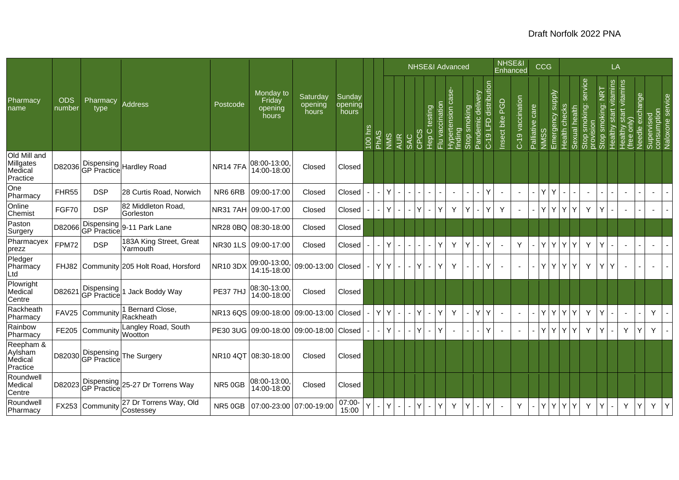|                                                  |                      |                           |                                        |                 |                                         |                              |                            |        |      |     |                |      |                                   |                 | <b>NHSE&amp;I Advanced</b>                    |              |                      |                            | NHSE&I<br>Enhanced       |                          |                 | <b>CCG</b>  |                                             |               |                                            |                                 | LA                        |                                                   |                 |                           |                  |
|--------------------------------------------------|----------------------|---------------------------|----------------------------------------|-----------------|-----------------------------------------|------------------------------|----------------------------|--------|------|-----|----------------|------|-----------------------------------|-----------------|-----------------------------------------------|--------------|----------------------|----------------------------|--------------------------|--------------------------|-----------------|-------------|---------------------------------------------|---------------|--------------------------------------------|---------------------------------|---------------------------|---------------------------------------------------|-----------------|---------------------------|------------------|
| Pharmacy<br>name                                 | <b>ODS</b><br>number | Pharmacy<br>type          | <b>Address</b>                         | Postcode        | Monday to<br>Friday<br>opening<br>hours | Saturday<br>opening<br>hours | Sunday<br>opening<br>hours | 00 hrs | PhAS | NMS | <b>AUR</b>     | CPC: | testing<br>$\circ$<br>ー<br>上<br>エ | Flu vaccination | <b>se</b><br>ලී<br>Hypertension of<br>finding | Stop smoking | divery<br>ਹ<br>lemic | LFD distribution<br>$C-19$ | PGD<br>Insect bite       | C-19 vaccination         | Palliative care | <b>NMSS</b> | <b>Supply</b><br>Health checks<br>Emergency | Sexual health | service<br>smoking:<br>Stop smo<br>oms qob | $\overline{2}$<br>Stop smoking: | vitamins<br>Healthy start | start vitamins<br>e only)<br>Healthy<br>(free onl | Needle exchange | Supervised<br>consumption | Naloxone service |
| Old Mill and<br>Millgates<br>Medical<br>Practice | D82036               |                           | Dispensing<br>GP Practice Hardley Road | <b>NR147FA</b>  | 08:00-13:00,<br>14:00-18:00             | Closed                       | Closed                     |        |      |     |                |      |                                   |                 |                                               |              |                      |                            |                          |                          |                 |             |                                             |               |                                            |                                 |                           |                                                   |                 |                           |                  |
| One<br>Pharmacy                                  | FHR55                | <b>DSP</b>                | 28 Curtis Road, Norwich                | NR6 6RB         | 09:00-17:00                             | Closed                       | Closed                     |        |      | Y   |                |      |                                   |                 | $\overline{\phantom{a}}$                      |              |                      | Y                          |                          | $\sim$                   | $\blacksquare$  | Y           | $\blacksquare$                              |               | $\blacksquare$                             |                                 |                           | $\sim$                                            |                 | $\blacksquare$            |                  |
| Online<br>Chemist                                | FGF70                | <b>DSP</b>                | 82 Middleton Road,<br>Gorleston        |                 | NR31 7AH 09:00-17:00                    | Closed                       | Closed                     |        |      | Y   |                |      |                                   | Ý               | Y                                             | Y            |                      | Y                          | Y                        | $\overline{\phantom{a}}$ | $\overline{a}$  | Y           | Y                                           | Y             | Y                                          | Y                               |                           | $\sim$                                            |                 | $\sim$                    |                  |
| Paston<br>Surgery                                | D82066               |                           | Dispensing 9-11 Park Lane              |                 | NR28 0BQ 08:30-18:00                    | Closed                       | Closed                     |        |      |     |                |      |                                   |                 |                                               |              |                      |                            |                          |                          |                 |             |                                             |               |                                            |                                 |                           |                                                   |                 |                           |                  |
| Pharmacyex<br>prezz                              | FPM72                | <b>DSP</b>                | 183A King Street, Great<br>Yarmouth    |                 | NR30 1LS 09:00-17:00                    | Closed                       | Closed                     |        |      | Y   |                |      |                                   | Υ               | Y                                             | Y            |                      | Y                          | $\overline{\phantom{a}}$ | Y                        |                 | Y<br>l Y    | Y                                           | Y             | Y                                          | Y                               |                           | $\sim$                                            |                 | ÷,                        |                  |
| Pledger<br>Pharmacy<br>Ltd                       | FHJ82                |                           | Community 205 Holt Road, Horsford      | NR10 3DX        | 09:00-13:00,<br>14:15-18:00             | 09:00-13:00 Closed           |                            |        | Y    | Y   | ٠              |      | $\sim$                            | Υ               | Y                                             |              |                      | Y                          |                          | $\blacksquare$           | $\sim$          | Y Y Y       |                                             | Y             | Υ                                          | Y                               | Y                         | $\blacksquare$                                    | $\blacksquare$  | $\blacksquare$            |                  |
| Plowright<br>Medical<br>Centre                   | D82621               | Dispensing<br>GP Practice | Jack Boddy Way                         | <b>PE37 7HJ</b> | 08:30-13:00<br>14:00-18:00              | Closed                       | Closed                     |        |      |     |                |      |                                   |                 |                                               |              |                      |                            |                          |                          |                 |             |                                             |               |                                            |                                 |                           |                                                   |                 |                           |                  |
| Rackheath<br>Pharmacy                            | <b>FAV25</b>         | Community                 | 1 Bernard Close,<br>Rackheath          | <b>NR136QS</b>  | 09:00-18:00                             | 09:00-13:00                  | Closed                     |        | Y    | Y   | $\blacksquare$ | Y    |                                   | Υ               | Y                                             |              |                      | Y                          | $\overline{\phantom{a}}$ | $\blacksquare$           |                 | Y           | Y.                                          | Y             | Y                                          | Y                               |                           | $\sim$                                            |                 | Y                         |                  |
| Rainbow<br>Pharmacy                              |                      | FE205 Community           | Langley Road, South<br>Wootton         |                 | PE30 3UG 09:00-18:00 09:00-18:00 Closed |                              |                            |        |      | Y   | $\blacksquare$ |      |                                   | Y               |                                               |              |                      | Y                          |                          |                          |                 | Y           | Y                                           | Y             | Y                                          | Y                               |                           | Y                                                 | Ý               | Y                         |                  |
| Reepham &<br>Aylsham<br>Medical<br>Practice      | D82030               |                           | Dispensing<br>GP Practice The Surgery  |                 | NR10 4QT 08:30-18:00                    | Closed                       | Closed                     |        |      |     |                |      |                                   |                 |                                               |              |                      |                            |                          |                          |                 |             |                                             |               |                                            |                                 |                           |                                                   |                 |                           |                  |
| Roundwell<br>Medical<br>Centre                   | D82023               |                           | Dispensing 25-27 Dr Torrens Way        | NR5 0GB         | 08:00-13:00<br>14:00-18:00              | Closed                       | Closed                     |        |      |     |                |      |                                   |                 |                                               |              |                      |                            |                          |                          |                 |             |                                             |               |                                            |                                 |                           |                                                   |                 |                           |                  |
| Roundwell<br>Pharmacy                            |                      | FX253 Community Costessey | 27 Dr Torrens Way, Old                 | NR5 0GB         | 07:00-23:00 07:00-19:00                 |                              | 07:00-<br>15:00            | Ý      |      |     |                |      |                                   | Υ               | Y                                             | Y            |                      | Y                          |                          | Y                        |                 | Y           | Y                                           | Y             | Υ                                          | Y                               |                           | Υ                                                 | Υ               | Y                         | Y                |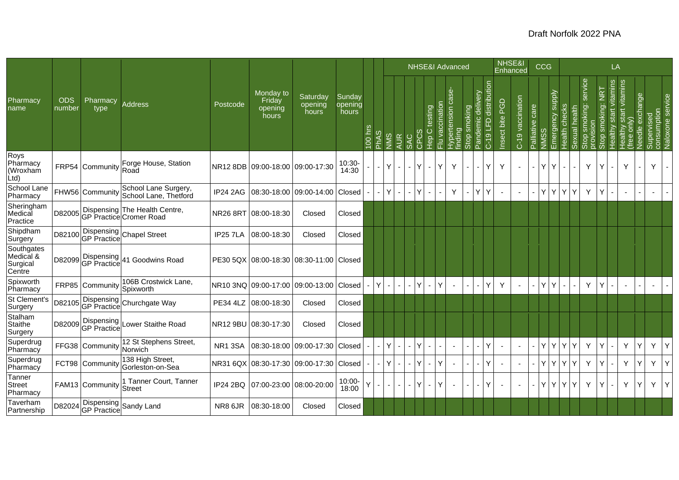|                                                        |                      |                                  |                                                          |                 |                                         |                              |                            |           |      |            |                          |              |                                  |                 | <b>NHSE&amp;I Advanced</b>         |                          |                              |                                  | NHSE&I<br>Enhanced |                  |                 | <b>CCG</b>                      |                |                   |                                              |                                       | LA                                  |                                            |                 |                                               |
|--------------------------------------------------------|----------------------|----------------------------------|----------------------------------------------------------|-----------------|-----------------------------------------|------------------------------|----------------------------|-----------|------|------------|--------------------------|--------------|----------------------------------|-----------------|------------------------------------|--------------------------|------------------------------|----------------------------------|--------------------|------------------|-----------------|---------------------------------|----------------|-------------------|----------------------------------------------|---------------------------------------|-------------------------------------|--------------------------------------------|-----------------|-----------------------------------------------|
| Pharmacy<br>name                                       | <b>ODS</b><br>number | Pharmacy<br>type                 | Address                                                  | Postcode        | Monday to<br>Friday<br>opening<br>hours | Saturday<br>opening<br>hours | Sundav<br>opening<br>hours | $100$ hrs | PhAS | <b>NMS</b> | <b>AUR</b><br>SAC        | <b>P</b>     | testing<br>$\circ$<br>-<br><br>上 | Flu vaccination | case-<br>Hypertension o<br>finding | Stop smoking             | elivery<br>ਠ<br>emic<br>Pand | distribution<br>ն<br>5<br>$C-19$ | PGD<br>Insect bite | C-19 vaccination | Palliative care | Emergency supply<br><b>NMSS</b> | Health checks  | exual health<br>ഗ | service<br>smoking:<br>Stop smo<br>provision | <b>NRT</b><br>smoking:<br><b>Stop</b> | vitamins<br>$\frac{1}{1}$<br>Vullee | start vitamins<br>only)<br>Healthy<br>(fre | Needle exchange | Supervised<br>consumption<br>Naloxone service |
| Roys<br>Pharmacy<br>(Wroxham<br>$\dot{\mathsf{L}}$ td) |                      | FRP54 Community                  | Forge House, Station<br>Road                             |                 | NR12 8DB 09:00-18:00 09:00-17:30        |                              | 10:30-<br>14:30            |           |      |            | $\blacksquare$           | Y            |                                  | Y               | Υ                                  |                          |                              | Y                                | Y                  |                  |                 | YY                              | $\blacksquare$ |                   | Y                                            | Y                                     |                                     | Y                                          | Y               |                                               |
| School Lane<br>Pharmacy                                |                      | FHW56 Community                  | School Lane Surgery,<br>School Lane, Thetford            | <b>IP24 2AG</b> | 08:30-18:00 09:00-14:00                 |                              | Closed                     |           |      |            | $\blacksquare$           | Y            |                                  |                 | Y                                  |                          |                              | Y                                |                    | $\blacksquare$   |                 | YY                              | Y              | Y                 | Y                                            | Y                                     |                                     | $\overline{\phantom{a}}$                   |                 |                                               |
| Sheringham<br>Medical<br>Practice                      | D82005               |                                  | Dispensing The Health Centre,<br>GP Practice Cromer Road |                 | NR26 8RT 08:00-18:30                    | Closed                       | Closed                     |           |      |            |                          |              |                                  |                 |                                    |                          |                              |                                  |                    |                  |                 |                                 |                |                   |                                              |                                       |                                     |                                            |                 |                                               |
| Shipdham<br>Surgery                                    | D82100               |                                  | Dispensing<br>GP Practice Chapel Street                  | <b>IP25 7LA</b> | 08:00-18:30                             | Closed                       | Closed                     |           |      |            |                          |              |                                  |                 |                                    |                          |                              |                                  |                    |                  |                 |                                 |                |                   |                                              |                                       |                                     |                                            |                 |                                               |
| Southgates<br>Medical &<br>Surgical<br>Centre          |                      |                                  | D82099 Dispensing 41 Goodwins Road                       |                 | PE30 5QX 08:00-18:30 08:30-11:00 Closed |                              |                            |           |      |            |                          |              |                                  |                 |                                    |                          |                              |                                  |                    |                  |                 |                                 |                |                   |                                              |                                       |                                     |                                            |                 |                                               |
| Spixworth<br>Pharmacy                                  |                      | FRP85 Community                  | 106B Crostwick Lane,<br>Spixworth                        |                 | NR10 3NQ 09:00-17:00 09:00-13:00        |                              | Closed                     |           | Y    |            | $\overline{\phantom{0}}$ | $\checkmark$ |                                  | Y               |                                    |                          |                              | Y                                | Y                  | $\blacksquare$   | $\sim$          | Y<br>$\mathsf{Y}$               | $\blacksquare$ |                   | Y                                            | Y                                     |                                     | $\sim$                                     |                 |                                               |
| St Clement's<br>Surgery                                | D82105               |                                  | Dispensing<br>GP Practice Churchgate Way                 |                 | PE34 4LZ 08:00-18:30                    | Closed                       | Closed                     |           |      |            |                          |              |                                  |                 |                                    |                          |                              |                                  |                    |                  |                 |                                 |                |                   |                                              |                                       |                                     |                                            |                 |                                               |
| Stalham<br>Staithe<br>Surgery                          | D82009               | Dispensing<br><b>GP</b> Practice | Lower Staithe Road                                       |                 | NR12 9BU 08:30-17:30                    | Closed                       | Closed                     |           |      |            |                          |              |                                  |                 |                                    |                          |                              |                                  |                    |                  |                 |                                 |                |                   |                                              |                                       |                                     |                                            |                 |                                               |
| Superdrug<br>Pharmacy                                  |                      | FFG38 Community                  | 12 St Stephens Street,<br>Norwich                        | <b>NR13SA</b>   | 08:30-18:00 09:00-17:30                 |                              | Closed                     |           |      | Υ          | $\blacksquare$           | Y            |                                  |                 |                                    |                          |                              | Y                                | $\blacksquare$     | $\blacksquare$   |                 | YY                              | Y              | Y                 | Y                                            | Y                                     |                                     | Y                                          | Y<br>Y          | Y                                             |
| Superdrug<br>Pharmacy                                  |                      | FCT98 Community                  | 138 High Street,<br>Gorleston-on-Sea                     | <b>NR31 6QX</b> | $ 08:30-17:30 09:00-17:30 $             |                              | Closed                     |           |      | Y          | $\sim$                   | v            |                                  | Y               |                                    |                          |                              | Ý                                |                    |                  |                 | Y<br>l v                        | Y              | Y                 | Y                                            | Y                                     |                                     | Y                                          | Y<br>Y          | Y                                             |
| Tanner<br><b>Street</b><br>Pharmacy                    |                      | FAM13 Community                  | 1 Tanner Court, Tanner<br><b>Street</b>                  | <b>IP24 2BQ</b> | 07:00-23:00 08:00-20:00                 |                              | 10:00-<br>18:00            | Ý         |      |            | $\blacksquare$           | Y            |                                  | Y               |                                    | $\overline{\phantom{a}}$ |                              | Y                                | $\blacksquare$     | $\sim$           | $\sim$          | YYY                             |                | Y                 | Y                                            | Y                                     |                                     | Y                                          | Y<br>Y          | Y                                             |
| Taverham<br>Partnership                                |                      |                                  | D82024 Dispensing Sandy Land                             | NR8 6JR         | 08:30-18:00                             | Closed                       | Closed                     |           |      |            |                          |              |                                  |                 |                                    |                          |                              |                                  |                    |                  |                 |                                 |                |                   |                                              |                                       |                                     |                                            |                 |                                               |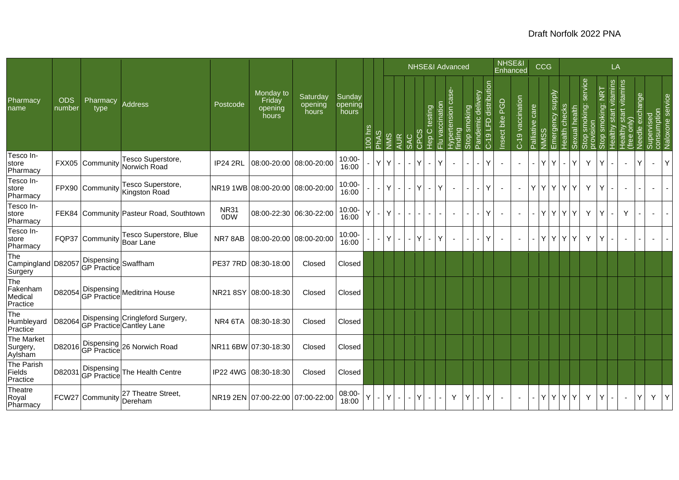|                                          |                      |                                    |                                                             |                                 |                                         |                              |                            |        |                          |                |              |        |      | NHSE&I Advanced                            |                                         |                 |                                  |                       |                 | NHSE&I<br>Enhanced       |                 | CCG      |                                   |                                |                                       |                                       | LA                       |                                                 |                    |                                               |                |
|------------------------------------------|----------------------|------------------------------------|-------------------------------------------------------------|---------------------------------|-----------------------------------------|------------------------------|----------------------------|--------|--------------------------|----------------|--------------|--------|------|--------------------------------------------|-----------------------------------------|-----------------|----------------------------------|-----------------------|-----------------|--------------------------|-----------------|----------|-----------------------------------|--------------------------------|---------------------------------------|---------------------------------------|--------------------------|-------------------------------------------------|--------------------|-----------------------------------------------|----------------|
| Pharmacy<br>name                         | <b>ODS</b><br>number | Pharmacy<br>type                   | Address                                                     | Postcode                        | Monday to<br>Friday<br>opening<br>hours | Saturday<br>opening<br>hours | Sunday<br>opening<br>hours | 00 hrs | <b>PhAS</b>              | NINS           | <b>AUR</b>   | SAC    | CPC: | Flu vaccination<br>testing<br>I-O<br>Hep C | <b>s</b> e<br>Hypertension o<br>finding | smoking<br>Stop | lelivery<br>ਹ<br><b>Pandemic</b> | C-19 LFD distribution | Insect bite PGD | C-19 vaccination         | Palliative care | NINS:    | Emergency supply<br>Health checks | alth<br>은<br>exual<br>$\omega$ | service<br>smoking:<br>Stop<br>provis | <b>NRT</b><br>smoking:<br><b>Stop</b> | Healthy start vitamins   | start vitamins<br>only)<br>Healthy<br>(free onl | exchange<br>Needle | Supervised<br>consumption<br>Naloxone service |                |
| Tesco In-<br>store<br>Pharmacy           | FXX05                | Community                          | Tesco Superstore,<br>Norwich Road                           | <b>IP24 2RL</b>                 | 08:00-20:00 08:00-20:00                 |                              | $10:00 -$<br>16:00         |        | YY                       |                | $\mathbf{r}$ |        | lΥ   | $\checkmark$<br>$\sim$                     | $\sim$                                  |                 |                                  | Υ                     |                 |                          |                 | Y        | Y<br>$\sim$                       | Y                              | Y                                     |                                       |                          |                                                 | v                  |                                               | Y              |
| Tesco In-<br>store<br>Pharmacy           |                      | FPX90 Community                    | Tesco Superstore,<br>Kingston Road                          |                                 | NR19 1WB  08:00-20:00   08:00-20:00     |                              | $10:00 -$<br>16:00         |        | $\overline{\phantom{a}}$ | Y.             | $\sim$       | $-Y$   |      | Y<br>$\sim$                                | $\sim$                                  | $\sim$          |                                  | Υ                     |                 | $\blacksquare$           | Y               | ly ly ly |                                   | Y                              | Y                                     |                                       | $\blacksquare$           |                                                 |                    |                                               | $\overline{a}$ |
| Tesco In-<br>store<br>Pharmacy           |                      |                                    | FEK84 Community Pasteur Road, Southtown                     | <b>NR31</b><br>0 <sub>D</sub> W |                                         | 08:00-22:30 06:30-22:00      | $10:00 -$<br>16:00         |        |                          | Y              |              |        |      |                                            | $\sim$                                  |                 |                                  | Υ                     |                 |                          |                 | Y I      | YY                                | Y                              | Y                                     |                                       | $\overline{\phantom{a}}$ | Y                                               |                    |                                               |                |
| Tesco In-<br>store<br>Pharmacy           | FQP37                | Community                          | Tesco Superstore, Blue<br>Boar Lane                         | NR78AB                          |                                         | 08:00-20:00 08:00-20:00      | $10:00 -$<br>16:00         |        |                          | Y.             | $\sim$       | $\sim$ | IY   | $\blacksquare$                             | $\sim$                                  | ٠               |                                  | Υ                     |                 | $\overline{\phantom{a}}$ |                 | Y I      | YY                                | Y                              | Y                                     |                                       |                          |                                                 |                    |                                               |                |
| The<br>Campingland D82057<br>Surgery     |                      | Dispensing<br>GP Practice Swaffham |                                                             |                                 | PE37 7RD 08:30-18:00                    | Closed                       | Closed                     |        |                          |                |              |        |      |                                            |                                         |                 |                                  |                       |                 |                          |                 |          |                                   |                                |                                       |                                       |                          |                                                 |                    |                                               |                |
| The<br>Fakenham<br>Medical<br>Practice   | D82054               |                                    | Dispensing<br>GP Practice Meditrina House                   |                                 | NR21 8SY 08:00-18:30                    | Closed                       | Closed                     |        |                          |                |              |        |      |                                            |                                         |                 |                                  |                       |                 |                          |                 |          |                                   |                                |                                       |                                       |                          |                                                 |                    |                                               |                |
| The<br>Humbleyard<br>Practice            | D82064               |                                    | Dispensing Cringleford Surgery,<br>GP Practice Cantley Lane | NR4 6TA                         | 08:30-18:30                             | Closed                       | Closed                     |        |                          |                |              |        |      |                                            |                                         |                 |                                  |                       |                 |                          |                 |          |                                   |                                |                                       |                                       |                          |                                                 |                    |                                               |                |
| <b>The Market</b><br>Surgery,<br>Aylsham | D82016               |                                    | Dispensing 26 Norwich Road                                  |                                 | NR11 6BW 07:30-18:30                    | Closed                       | Closed                     |        |                          |                |              |        |      |                                            |                                         |                 |                                  |                       |                 |                          |                 |          |                                   |                                |                                       |                                       |                          |                                                 |                    |                                               |                |
| The Parish<br>Fields<br>Practice         | D82031               |                                    | Dispensing<br>GP Practice The Health Centre                 |                                 | IP22 4WG 08:30-18:30                    | Closed                       | Closed                     |        |                          |                |              |        |      |                                            |                                         |                 |                                  |                       |                 |                          |                 |          |                                   |                                |                                       |                                       |                          |                                                 |                    |                                               |                |
| Theatre<br>Royal<br>Pharmacy             |                      | FCW27 Community                    | 27 Theatre Street,<br>Dereham                               |                                 | NR19 2EN 07:00-22:00 07:00-22:00        |                              | 08:00-<br>18:00            |        | $\blacksquare$           | Y <sub>1</sub> | $\sim$       | $- Y $ |      | $\sim$                                     | Y                                       | Y.              | $\blacksquare$                   | Y                     |                 |                          |                 | YYYYY    |                                   |                                | Y                                     | Y                                     | $\blacksquare$           |                                                 | Υ                  | $Y -$                                         | Y.             |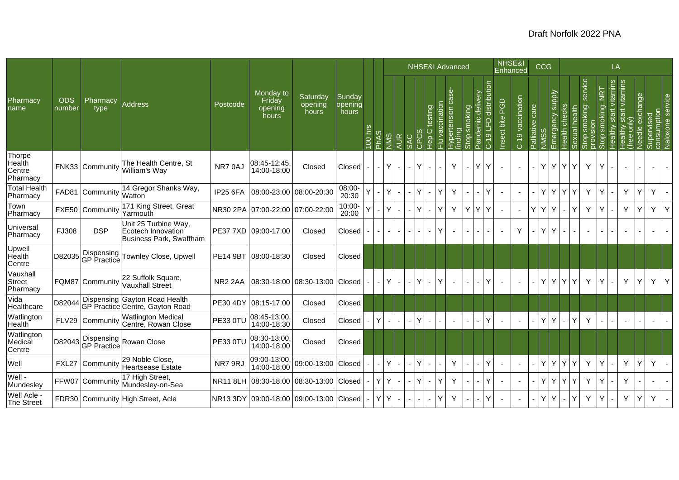|                                        |                      |                  |                                                                              |                     |                                         |                              |                            |         |                 |                    |            |          |                       |                     | <b>NHSE&amp;I Advanced</b>           |                               |                          |                                  | NHSE&I<br>Enhanced |                  |                 | <b>CCG</b>                       |               |                             |                          |                                                               | LA                        |                                             |                 |                                               |   |
|----------------------------------------|----------------------|------------------|------------------------------------------------------------------------------|---------------------|-----------------------------------------|------------------------------|----------------------------|---------|-----------------|--------------------|------------|----------|-----------------------|---------------------|--------------------------------------|-------------------------------|--------------------------|----------------------------------|--------------------|------------------|-----------------|----------------------------------|---------------|-----------------------------|--------------------------|---------------------------------------------------------------|---------------------------|---------------------------------------------|-----------------|-----------------------------------------------|---|
| Pharmacy<br>name                       | <b>ODS</b><br>number | Pharmacy<br>type | <b>Address</b>                                                               | Postcode            | Monday to<br>Friday<br>opening<br>hours | Saturday<br>opening<br>hours | Sunday<br>opening<br>hours | 100 hrs | ဖ<br><b>Add</b> | NINS<br><b>AUR</b> | <b>SAC</b> | CP       | testing<br>C<br>Hep C | ccination<br>ğ<br>룬 | case-<br>δ<br>Hypertensic<br>finding | smoking<br>$rac{1}{\sqrt{2}}$ | lelivery<br>ਠ<br>andemic | distribution<br>ն<br>5<br>$C-19$ | PGD<br>Insect bite | C-19 vaccination | Palliative care | Emergency supply<br>$\ddot{\Xi}$ | Health checks | health<br>exual<br>$\omega$ | service<br>smoking:<br>O | <b>NRT</b><br>king:<br>$\frac{1}{2}$<br><u>do</u><br>$\infty$ | start vitamins<br>Healthy | start vitamins<br>only)<br>Healthy<br>(free | Needle exchange | Supervised<br>consumption<br>Naloxone service |   |
| Thorpe<br>Health<br>Centre<br>Pharmacy |                      | FNK33 Community  | The Health Centre, St<br>William's Way                                       | NR70AJ              | 08:45-12:45<br>14:00-18:00              | Closed                       | Closed                     |         |                 | Y                  |            |          |                       |                     | Y                                    |                               | Y                        |                                  |                    |                  |                 | Y                                | YY            | Y                           | Y                        |                                                               |                           |                                             |                 |                                               |   |
| <b>Total Health</b><br>Pharmacy        |                      | FAD81 Community  | 14 Gregor Shanks Way,<br>Watton                                              | <b>IP25 6FA</b>     | 08:00-23:00                             | 08:00-20:30                  | 08:00-<br>20:30            |         |                 |                    |            | IY.      |                       | ν                   | Y                                    |                               |                          | Y                                |                    |                  |                 | Y.<br>Y                          | Y             | Y                           | Y                        |                                                               | $\blacksquare$            | Y                                           | Ý               | Y.                                            |   |
| Town<br>Pharmacy                       |                      | FXE50 Community  | 171 King Street, Great<br>Yarmouth                                           |                     | NR30 2PA 07:00-22:00                    | 07:00-22:00                  | $10:00 -$<br>20:00         |         |                 | Y                  |            |          |                       | ٧                   | Y                                    | YY                            |                          | Y                                |                    |                  | Y               | Y<br>$\mathsf{Y}$                |               | Y                           | Y                        |                                                               |                           | Y                                           | Y               | Y                                             | Y |
| Universal<br>Pharmacy                  | FJ308                | <b>DSP</b>       | Unit 25 Turbine Way,<br>Ecotech Innovation<br><b>Business Park, Swaffham</b> |                     | PE37 7XD 09:00-17:00                    | Closed                       | Closed                     |         |                 |                    |            |          |                       | ν                   |                                      |                               |                          |                                  |                    | Υ                |                 | Y<br>Y                           |               |                             |                          |                                                               |                           |                                             |                 |                                               |   |
| Upwell<br>Health<br>Centre             | D82035               |                  | Dispensing<br>GP Practice Townley Close, Upwell                              | <b>PE14 9BT</b>     | 08:00-18:30                             | Closed                       | Closed                     |         |                 |                    |            |          |                       |                     |                                      |                               |                          |                                  |                    |                  |                 |                                  |               |                             |                          |                                                               |                           |                                             |                 |                                               |   |
| Vauxhall<br><b>Street</b><br>Pharmacy  |                      | FQM87 Community  | 22 Suffolk Square,<br><b>Vauxhall Street</b>                                 | NR <sub>2</sub> 2AA | 08:30-18:00                             | 08:30-13:00 Closed           |                            |         |                 | Y                  |            | Y        | $\blacksquare$        | ٧                   |                                      |                               |                          | Υ                                |                    |                  |                 | ΥI                               | YY            | Y                           | Y                        | Y                                                             |                           | Y                                           | Y               | Y.                                            | Y |
| Vida<br>Healthcare                     | D82044               |                  | Dispensing Gayton Road Health<br>GP Practice Centre, Gayton Road             | <b>PE30 4DY</b>     | 08:15-17:00                             | Closed                       | Closed                     |         |                 |                    |            |          |                       |                     |                                      |                               |                          |                                  |                    |                  |                 |                                  |               |                             |                          |                                                               |                           |                                             |                 |                                               |   |
| Watlington<br>Health                   | <b>FLV29</b>         | Community        | <b>Watlington Medical</b><br>Centre, Rowan Close                             | <b>PE33 0TU</b>     | 08:45-13:00<br>14:00-18:30              | Closed                       | Closed                     |         | Y               |                    |            | Y        |                       |                     | $\blacksquare$                       |                               |                          | Υ                                |                    |                  |                 | Y<br>Y                           |               | Y                           | Y                        |                                                               |                           | $\blacksquare$                              |                 |                                               |   |
| Watlington<br>Medical<br>Centre        | D82043               |                  | Dispensing<br>GP Practice Rowan Close                                        | <b>PE33 0TU</b>     | 08:30-13:00,<br>14:00-18:00             | Closed                       | Closed                     |         |                 |                    |            |          |                       |                     |                                      |                               |                          |                                  |                    |                  |                 |                                  |               |                             |                          |                                                               |                           |                                             |                 |                                               |   |
| Well                                   | FXL27                | Community        | 29 Noble Close,<br>Heartsease Estate                                         | NR7 9RJ             | 09:00-13:00,<br>14:00-18:00             | 09:00-13:00 Closed           |                            |         |                 | Y                  |            | <b>Y</b> |                       |                     | Y                                    |                               |                          | Y                                |                    |                  |                 | Y.                               | YY            | Y                           | Y                        |                                                               |                           | Y                                           | Y               | Y.                                            |   |
| Well -<br>Mundesley                    |                      | FFW07 Community  | 17 High Street,<br>Mundesley-on-Sea                                          |                     | NR11 8LH 08:30-18:00                    | 08:30-13:00 Closed           |                            |         | Y               | Y                  |            |          |                       | ٧                   | Y                                    |                               |                          | Υ                                |                    |                  |                 | Y                                | YY            | Y                           | Y                        |                                                               |                           | Y                                           |                 |                                               |   |
| Well Acle<br>The Street                |                      |                  | FDR30 Community High Street, Acle                                            |                     | NR13 3DY 09:00-18:00 09:00-13:00 Closed |                              |                            |         | Y               | Y                  |            |          |                       | Υ                   | Y                                    |                               |                          | Υ                                |                    |                  |                 | Y<br>Y                           |               | Y                           | Y                        |                                                               |                           | Y                                           | Υ               | Y                                             |   |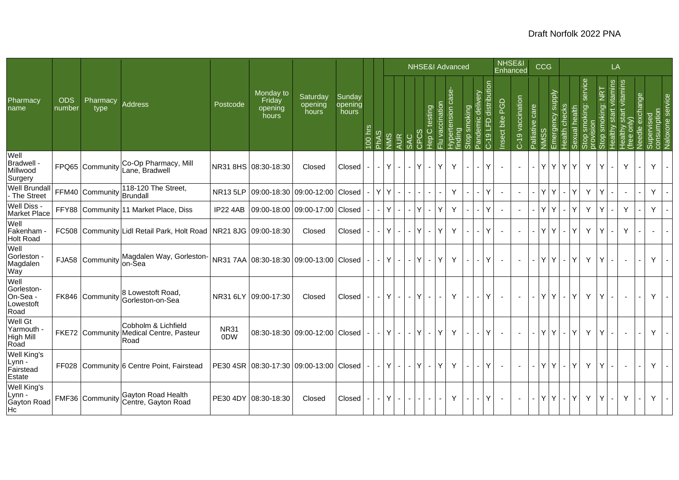|                                                         |                      |                  |                                                                        |                                 |                                               |                              |                            |                          |                |              |                           |          | NHSE&I Advanced                             |                 |                                     |              |                       |                          | NHSE&I<br>Enhanced        |                  |                 | <b>CCG</b>              |                |               |                                  |                                    | LA                |                                                                   |                          |                          |                                               |
|---------------------------------------------------------|----------------------|------------------|------------------------------------------------------------------------|---------------------------------|-----------------------------------------------|------------------------------|----------------------------|--------------------------|----------------|--------------|---------------------------|----------|---------------------------------------------|-----------------|-------------------------------------|--------------|-----------------------|--------------------------|---------------------------|------------------|-----------------|-------------------------|----------------|---------------|----------------------------------|------------------------------------|-------------------|-------------------------------------------------------------------|--------------------------|--------------------------|-----------------------------------------------|
| Pharmacy<br>name                                        | <b>ODS</b><br>number | Pharmacy<br>type | Address                                                                | Postcode                        | Monday to<br>Friday<br>opening<br>hours       | Saturday<br>opening<br>hours | Sunday<br>opening<br>hours | 100 hrs                  | <b>PhAS</b>    | <b>NIMS</b>  | <b>AUR</b><br><b>SAC</b>  |          | testing<br>$\circ$<br>$\frac{1}{2}$<br>CPC: | Flu vaccination | case-<br>Hypertension of<br>finding | Stop smoking | lelivery<br>ਠ<br>Pand | distribution<br>C-19 LFD | <b>PGD</b><br>Insect bite | C-19 vaccination | Palliative care | mergency supply<br>NMSS | Health checks  | Sexual health | service<br>smoking:<br>provision | $\overline{2}$<br>smoking:<br>Stop | vitamins<br>start | start vitamins<br>Healthy :<br>(free onl <sub>)</sub><br>Needle e | exchange                 |                          | Supervised<br>consumption<br>Naloxone service |
| Well<br>Bradwell -<br>Millwood<br>Surgery               |                      | FPQ65 Community  | Co-Op Pharmacy, Mill<br>ane, Bradwell                                  |                                 | NR31 8HS 08:30-18:30                          | Closed                       | Closed                     |                          | $\blacksquare$ | Y            | $\mathbb{Z}^{\mathbb{Z}}$ | $\sim$   | Y                                           | Y               | Y                                   |              |                       | Y                        |                           |                  |                 | Y                       | YY             | Y             | Y                                | Y                                  |                   | Y                                                                 |                          | Υ                        | $\blacksquare$                                |
| <b>Well Brundall</b><br>- The Street                    |                      | FFM40 Community  | 118-120 The Street,<br>Brundall                                        |                                 | NR13 5LP 09:00-18:30 09:00-12:00 Closed       |                              |                            |                          | YY             |              | $\blacksquare$            |          |                                             |                 | Y                                   |              |                       | Y                        |                           | $\blacksquare$   | $\blacksquare$  | Y.                      | $\blacksquare$ | Y             | Y                                | Y                                  |                   | $\sim$                                                            |                          | Y                        |                                               |
| Well Diss -<br>Market Place                             |                      |                  | FFY88 Community 11 Market Place, Diss                                  |                                 | IP22 4AB 09:00-18:00 09:00-17:00 Closed       |                              |                            |                          |                | Y            | $\blacksquare$<br>$\sim$  |          | Y                                           | Y               | Y                                   |              |                       | Y                        |                           |                  |                 | Y                       |                | Y             | Y                                |                                    |                   | Y                                                                 |                          | Y                        |                                               |
| Well<br>Fakenham<br><b>Holt Road</b>                    |                      |                  | FC508 Community Lidl Retail Park, Holt Road   NR21 8JG   09:00-18:30   |                                 |                                               | Closed                       | Closed                     |                          |                | Y            | $\blacksquare$            | $\sim$   | Y                                           | Y               | Y                                   |              |                       | Y                        |                           | $\sim$           |                 | Y                       | ÷.             | Y             | Y                                |                                    |                   | Y                                                                 |                          | $\overline{\phantom{a}}$ | $\blacksquare$                                |
| Well<br>Gorleston<br>Magdalen<br>Way                    |                      | FJA58 Community  | Magdalen Way, Gorleston-<br>lon-Šea                                    |                                 | NR31 7AA 08:30-18:30 09:00-13:00 Closed       |                              |                            | $\overline{\phantom{a}}$ | $\sim$         | Y            | $\blacksquare$            | $\sim$   | Y <sub>1</sub><br>$\sim$                    | Y               | Y.                                  | $\sim$       |                       | Y                        |                           |                  | $\sim$          | Y                       | $\blacksquare$ | Y             | Y                                | Υ                                  |                   | $\sim$                                                            | $\overline{\phantom{a}}$ | Y                        | $\blacksquare$                                |
| Well<br>Gorleston-<br>On-Sea -<br>Lowestoft<br>Road     |                      | FK846 Community  | 8 Lowestoft Road,<br>Gorleston-on-Sea                                  |                                 | NR31 6LY 09:00-17:30                          | Closed                       | Closed                     |                          | $\sim$ .       | $\mathsf{Y}$ | $\sim$                    | $\sim$ . | $\mathsf{Y}$                                | $\mathbf{r}$    | Y                                   | $\sim$       |                       | Y                        | $\overline{a}$            | $\sim$           | $\sim$          | Y<br>$\mathsf{Y}$       | $\omega$       | Y             | Y                                | Y                                  |                   | $\sim$                                                            |                          | Y                        | $\sim$                                        |
| Well Gt<br>Yarmouth<br>High Mill<br>Road                |                      |                  | Cobholm & Lichfield<br>FKE72 Community Medical Centre, Pasteur<br>Road | <b>NR31</b><br>0 <sub>D</sub> W | 08:30-18:30 09:00-12:00 Closed                |                              |                            | $\blacksquare$           | $\omega$       | $\mathsf{Y}$ | $\sim$                    | $\sim$   | $\mathsf{Y}$                                | Y               | Y                                   |              |                       | Y                        |                           |                  | ä,              | Y<br>$\vert$ Y $\vert$  | $\omega$       | Y             | Y                                | ٧                                  |                   |                                                                   |                          | Y                        |                                               |
| <b>Well King's</b><br>Lynn -<br>Fairstead<br>Estate     |                      |                  | FF028 Community 6 Centre Point, Fairstead                              |                                 | PE30 4SR   08:30-17:30   09:00-13:00   Closed |                              |                            | $\sim$                   |                | $-1$ Y $-1$  |                           | $- Y $   | $\sim$                                      | $\mathsf{Y}$    | Y                                   | $\sim$       |                       | Y                        |                           | $\sim$           | $\sim$          | YY                      | $\sim$         | Y             | Y                                | Y                                  |                   | $\sim$                                                            | $\overline{a}$           | Y                        | $\sim$                                        |
| Well King's<br>Lynn -<br>Gayton Road<br>Hc <sup>1</sup> |                      | FMF36 Community  | Gayton Road Health<br>Centre, Gayton Road                              |                                 | PE30 4DY 08:30-18:30                          | Closed                       | Closed                     | $\sim$                   | $-1Y$          |              | $\sim$                    | $\sim$   | $\sim$<br>$\sim$                            |                 | Y.                                  | $\sim$       |                       | Y                        |                           | $\blacksquare$   | $\sim$ 1        | Y                       | $Y -$          | Y             | Y                                | Υ                                  |                   | Y                                                                 | $\overline{\phantom{0}}$ | Y                        | $\sim$                                        |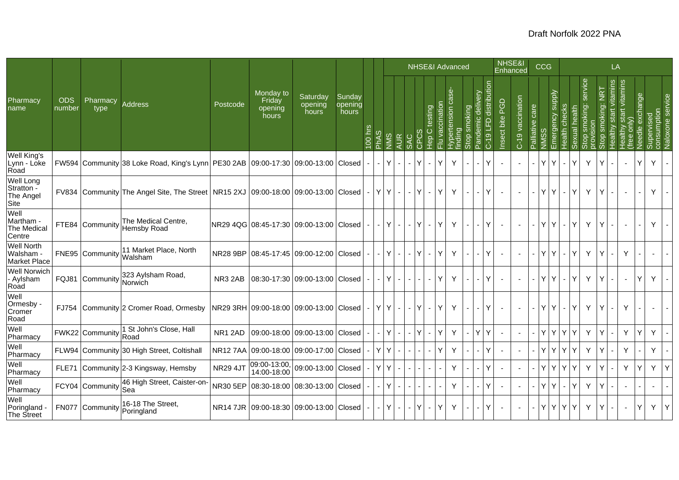|                                              |                      |                       |                                                                                            |                 |                                         |                                |                            |         | <b>NHSE&amp;I</b> Advanced |     |                |                |     |                                                        | NHSE&I<br>Enhanced |                  |             | <b>CCG</b>               |                                    |                           |                  |                 | LA                |                                   |                            |                     |                             |                       |                                         |                 |                           |                          |
|----------------------------------------------|----------------------|-----------------------|--------------------------------------------------------------------------------------------|-----------------|-----------------------------------------|--------------------------------|----------------------------|---------|----------------------------|-----|----------------|----------------|-----|--------------------------------------------------------|--------------------|------------------|-------------|--------------------------|------------------------------------|---------------------------|------------------|-----------------|-------------------|-----------------------------------|----------------------------|---------------------|-----------------------------|-----------------------|-----------------------------------------|-----------------|---------------------------|--------------------------|
| Pharmacy<br>name                             | <b>ODS</b><br>number | Pharmacy<br>type      | <b>Address</b>                                                                             | Postcode        | Monday to<br>Friday<br>opening<br>hours | Saturday<br>opening<br>hours   | Sunday<br>opening<br>hours | 100 hrs | <b>PhAS</b>                | SMN | <b>AUR</b>     | <b>SAC</b>     |     | vaccinatio<br>testing<br>$\circ$<br>$\frac{6}{5}$<br>룬 | ise                | ertension<br>ing | moking<br>ŏ | delivery<br>emic         | distribution<br><b>G</b><br>$C-19$ | <b>PGD</b><br>Insect bite | C-19 vaccination | Palliative care |                   | Emergency supply<br>Health checks | health<br>kual<br>$\omega$ | service<br>smoking: | <b>NRT</b><br>king:<br>Stop | ealthy start vitamins | start vitamins<br>only)<br>ealthy<br>ee | Needle exchange | Supervised<br>consumption | Naloxone servi           |
| Well King's<br>Lynn - Loke<br>Road           |                      |                       | FW594 Community 38 Loke Road, King's Lynn   PE30 2AB   09:00-17:30   09:00-13:00   Closed  |                 |                                         |                                |                            |         |                            | Y   | $\sim$         | $-Y$           |     | Y<br>$\mathbf{r}$                                      |                    | Y                |             | ÷.                       | Υ                                  |                           |                  | $\sim$          | Y<br>Y            |                                   | Y                          | Y                   |                             |                       |                                         | Y               | Y.                        |                          |
| Well Long<br>Stratton -<br>The Angel<br>Site |                      |                       | FV834 Community The Angel Site, The Street   NR15 2XJ   09:00-18:00   09:00-13:00   Closed |                 |                                         |                                |                            | $\sim$  |                            | YY  | $\sim$         | $-1Y$          |     | Y<br>$\sim$                                            |                    | Y                | $\sim$      | $\overline{\phantom{0}}$ | Υ                                  |                           |                  | $\sim$          | Y<br>$\mathsf{Y}$ | $\sim$                            | Y                          | Y                   |                             |                       |                                         |                 | Y                         |                          |
| Well<br>Martham -<br>The Medical<br>Centre   |                      | FTE84 Community       | The Medical Centre,<br><b>Hemsby Road</b>                                                  |                 | NR29 4QG 08:45-17:30 09:00-13:00 Closed |                                |                            | $\sim$  | $\sim$                     | Y   | $\sim$         | $-1Y$          |     | Y<br>$\sim$                                            |                    | Y                | $\sim$      | $\overline{\phantom{0}}$ | Υ                                  |                           |                  |                 | Y                 | Y<br>$\sim$                       | Y                          | Y                   |                             |                       |                                         |                 | Y                         | $\sim$                   |
| Well North<br>Walsham<br><b>Market Place</b> |                      | FNE95 Community       | 11 Market Place, North<br>Walsham                                                          | <b>NR28 9BP</b> |                                         | 08:45-17:45 09:00-12:00 Closed |                            |         |                            | Y   | $\blacksquare$ | $\blacksquare$ | IY. | Y<br>$\overline{\phantom{a}}$                          |                    | Y                |             | $\overline{\phantom{0}}$ | Υ                                  |                           |                  |                 | Y<br>Y            |                                   | Y                          | Y                   |                             |                       | Y                                       |                 |                           |                          |
| <b>Well Norwich</b><br>- Aylsham<br>Road     |                      | FQJ81 Community       | 323 Aylsham Road,<br>Norwich                                                               | NR3 2AB         |                                         | 08:30-17:30 09:00-13:00 Closed |                            |         |                            | Y   | $\sim$         |                |     | Y<br>$\blacksquare$                                    |                    | Y                |             | ÷.                       | Υ                                  |                           |                  | $\sim$          | Y<br>Y            |                                   | Y                          | Y                   |                             |                       |                                         | Y               | Y                         |                          |
| Well<br>Ormesby -<br>Cromer<br>Road          |                      |                       | FJ754 Community 2 Cromer Road, Ormesby                                                     |                 | NR29 3RH 09:00-18:00 09:00-13:00 Closed |                                |                            | $\sim$  |                            | YY  | $\sim$         | $-1Y$          |     | Y<br>$\sim$                                            |                    | Y                |             | $\overline{\phantom{0}}$ | Υ                                  |                           |                  | $\sim$          | Y<br>Y            | $\sim$                            | Y                          | Y                   |                             |                       | Y                                       |                 |                           |                          |
| Well<br>Pharmacy                             |                      | FWK22 Community   ULU | 1 St John's Close, Hall                                                                    | NR1 2AD         |                                         | 09:00-18:00 09:00-13:00 Closed |                            |         |                            | Y   |                |                | IY. | Y                                                      |                    | Y                |             | Y.                       | Y                                  |                           |                  |                 | Y                 | YY                                | Y                          | Y                   |                             |                       | Y                                       | Υ               | Y.                        |                          |
| Well<br>Pharmacy                             |                      |                       | FLW94 Community 30 High Street, Coltishall                                                 | <b>NR127AA</b>  |                                         | 09:00-18:00 09:00-17:00 Closed |                            |         | Y                          | Y   |                |                |     | Y<br>$\blacksquare$                                    |                    | Y                |             |                          | Υ                                  |                           |                  |                 | Y                 | YY                                | Y                          | Y                   |                             |                       | Y                                       |                 | Y.                        | $\overline{\phantom{a}}$ |
| Well<br>Pharmacy                             |                      |                       | FLE71 Community 2-3 Kingsway, Hemsby                                                       | <b>NR29 4JT</b> | 09:00-13:00,<br>14:00-18:00             | 09:00-13:00 Closed             |                            |         | Y                          | Y   |                |                |     |                                                        |                    | Y                |             |                          | Y                                  |                           |                  |                 | Y                 | Y.<br>l Y                         | Y                          | Y                   |                             |                       | Y                                       | Y               | Y                         | Y                        |
| Well<br>Pharmacy                             |                      | FCY04 Community       | 46 High Street, Caister-on-<br>Sea                                                         | NR30 5EP        | 08:30-18:00                             | 08:30-13:00 Closed             |                            |         |                            | Y   | $\sim$         |                |     |                                                        |                    | Y                |             |                          | Y                                  |                           |                  | $\sim$          | Y<br>Y            |                                   | Y                          | Y                   |                             |                       |                                         |                 |                           |                          |
| Well<br>Poringland<br>The Street             |                      | FN077 Community       | 16-18 The Street,<br>Poringland                                                            |                 | NR14 7JR 09:00-18:30 09:00-13:00 Closed |                                |                            |         |                            | Y   | $\blacksquare$ | $\blacksquare$ | IY. | Y<br>$\blacksquare$                                    |                    | Y                |             |                          | Υ                                  |                           |                  |                 | Y                 | YY                                | Y                          | Y                   | Y                           |                       |                                         | Y               | Y.                        | Y                        |